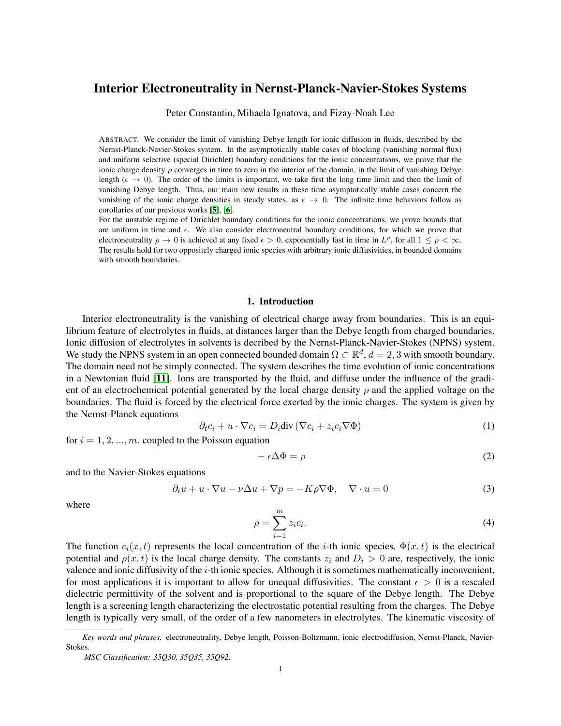# Interior Electroneutrality in Nernst-Planck-Navier-Stokes Systems

Peter Constantin, Mihaela Ignatova, and Fizay-Noah Lee

ABSTRACT. We consider the limit of vanishing Debye length for ionic diffusion in fluids, described by the Nernst-Planck-Navier-Stokes system. In the asymptotically stable cases of blocking (vanishing normal flux) and uniform selective (special Dirichlet) boundary conditions for the ionic concentrations, we prove that the ionic charge density  $\rho$  converges in time to zero in the interior of the domain, in the limit of vanishing Debye length ( $\epsilon \to 0$ ). The order of the limits is important, we take first the long time limit and then the limit of vanishing Debye length. Thus, our main new results in these time asymptotically stable cases concern the vanishing of the ionic charge densities in steady states, as  $\epsilon \to 0$ . The infinite time behaviors follow as corollaries of our previous works [[5](#page-19-0)], [[6](#page-19-1)].

For the unstable regime of Dirichlet boundary conditions for the ionic concentrations, we prove bounds that are uniform in time and  $\epsilon$ . We also consider electroneutral boundary conditions, for which we prove that electroneutrality  $\rho \to 0$  is achieved at any fixed  $\epsilon > 0$ , exponentially fast in time in  $L^p$ , for all  $1 \leq p < \infty$ . The results hold for two oppositely charged ionic species with arbitrary ionic diffusivities, in bounded domains with smooth boundaries.

### 1. Introduction

Interior electroneutrality is the vanishing of electrical charge away from boundaries. This is an equilibrium feature of electrolytes in fluids, at distances larger than the Debye length from charged boundaries. Ionic diffusion of electrolytes in solvents is decribed by the Nernst-Planck-Navier-Stokes (NPNS) system. We study the NPNS system in an open connected bounded domain  $\Omega \subset \mathbb{R}^d$ ,  $d = 2, 3$  with smooth boundary. The domain need not be simply connected. The system describes the time evolution of ionic concentrations in a Newtonian fluid [[11](#page-19-2)]. Ions are transported by the fluid, and diffuse under the influence of the gradient of an electrochemical potential generated by the local charge density  $\rho$  and the applied voltage on the boundaries. The fluid is forced by the electrical force exerted by the ionic charges. The system is given by the Nernst-Planck equations

<span id="page-0-0"></span>
$$
\partial_t c_i + u \cdot \nabla c_i = D_i \text{div} \left( \nabla c_i + z_i c_i \nabla \Phi \right) \tag{1}
$$

for  $i = 1, 2, ..., m$ , coupled to the Poisson equation

<span id="page-0-1"></span>
$$
-\epsilon \Delta \Phi = \rho \tag{2}
$$

and to the Navier-Stokes equations

$$
\partial_t u + u \cdot \nabla u - \nu \Delta u + \nabla p = -K \rho \nabla \Phi, \quad \nabla \cdot u = 0 \tag{3}
$$

where

$$
\rho = \sum_{i=1}^{m} z_i c_i.
$$
\n(4)

The function  $c_i(x, t)$  represents the local concentration of the *i*-th ionic species,  $\Phi(x, t)$  is the electrical potential and  $\rho(x, t)$  is the local charge density. The constants  $z_i$  and  $D_i > 0$  are, respectively, the ionic valence and ionic diffusivity of the i-th ionic species. Although it is sometimes mathematically inconvenient, for most applications it is important to allow for unequal diffusivities. The constant  $\epsilon > 0$  is a rescaled dielectric permittivity of the solvent and is proportional to the square of the Debye length. The Debye length is a screening length characterizing the electrostatic potential resulting from the charges. The Debye length is typically very small, of the order of a few nanometers in electrolytes. The kinematic viscosity of

*Key words and phrases.* electroneutrality, Debye length, Poisson-Boltzmann, ionic electrodiffusion, Nernst-Planck, Navier-Stokes.

*MSC Classification: 35Q30, 35Q35, 35Q92.*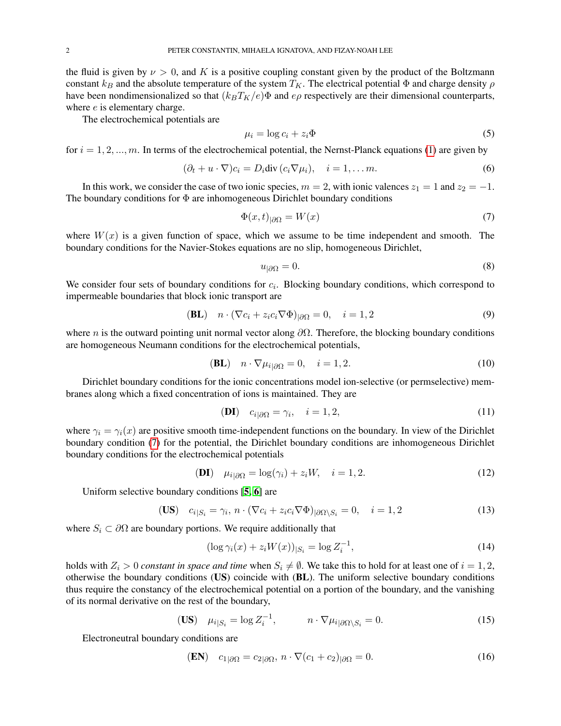the fluid is given by  $\nu > 0$ , and K is a positive coupling constant given by the product of the Boltzmann constant  $k_B$  and the absolute temperature of the system  $T_K$ . The electrical potential  $\Phi$  and charge density  $\rho$ have been nondimensionalized so that  $(k_BT_K/e)\Phi$  and  $e\rho$  respectively are their dimensional counterparts, where  $e$  is elementary charge.

The electrochemical potentials are

$$
\mu_i = \log c_i + z_i \Phi \tag{5}
$$

for  $i = 1, 2, ..., m$ . In terms of the electrochemical potential, the Nernst-Planck equations [\(1\)](#page-0-0) are given by

$$
(\partial_t + u \cdot \nabla)c_i = D_i \text{div}(c_i \nabla \mu_i), \quad i = 1, \dots m.
$$
 (6)

In this work, we consider the case of two ionic species,  $m = 2$ , with ionic valences  $z_1 = 1$  and  $z_2 = -1$ . The boundary conditions for  $\Phi$  are inhomogeneous Dirichlet boundary conditions

<span id="page-1-0"></span>
$$
\Phi(x,t)_{|\partial\Omega} = W(x) \tag{7}
$$

where  $W(x)$  is a given function of space, which we assume to be time independent and smooth. The boundary conditions for the Navier-Stokes equations are no slip, homogeneous Dirichlet,

$$
u_{|\partial\Omega} = 0.\t\t(8)
$$

We consider four sets of boundary conditions for  $c_i$ . Blocking boundary conditions, which correspond to impermeable boundaries that block ionic transport are

$$
(BL) \quad n \cdot (\nabla c_i + z_i c_i \nabla \Phi)_{|\partial \Omega} = 0, \quad i = 1, 2 \tag{9}
$$

where *n* is the outward pointing unit normal vector along  $\partial\Omega$ . Therefore, the blocking boundary conditions are homogeneous Neumann conditions for the electrochemical potentials,

$$
(BL) \quad n \cdot \nabla \mu_{i|\partial \Omega} = 0, \quad i = 1, 2. \tag{10}
$$

Dirichlet boundary conditions for the ionic concentrations model ion-selective (or permselective) membranes along which a fixed concentration of ions is maintained. They are

$$
(DI) \quad c_{i|\partial\Omega} = \gamma_i, \quad i = 1, 2,
$$
\n<sup>(11)</sup>

where  $\gamma_i = \gamma_i(x)$  are positive smooth time-independent functions on the boundary. In view of the Dirichlet boundary condition [\(7\)](#page-1-0) for the potential, the Dirichlet boundary conditions are inhomogeneous Dirichlet boundary conditions for the electrochemical potentials

$$
(DI) \quad \mu_{i|\partial\Omega} = \log(\gamma_i) + z_i W, \quad i = 1, 2. \tag{12}
$$

Uniform selective boundary conditions [[5,](#page-19-0) [6](#page-19-1)] are

$$
\textbf{(US)} \quad c_{i|S_i} = \gamma_i, \, n \cdot (\nabla c_i + z_i c_i \nabla \Phi)_{|\partial \Omega \setminus S_i} = 0, \quad i = 1, 2 \tag{13}
$$

where  $S_i \subset \partial \Omega$  are boundary portions. We require additionally that

<span id="page-1-1"></span>
$$
(\log \gamma_i(x) + z_i W(x))_{|S_i} = \log Z_i^{-1},\tag{14}
$$

holds with  $Z_i > 0$  *constant in space and time* when  $S_i \neq \emptyset$ . We take this to hold for at least one of  $i = 1, 2$ , otherwise the boundary conditions (US) coincide with (BL). The uniform selective boundary conditions thus require the constancy of the electrochemical potential on a portion of the boundary, and the vanishing of its normal derivative on the rest of the boundary,

$$
\textbf{(US)} \quad \mu_{i|S_i} = \log Z_i^{-1}, \qquad \qquad n \cdot \nabla \mu_{i|\partial \Omega \setminus S_i} = 0. \tag{15}
$$

Electroneutral boundary conditions are

$$
\text{(EN)} \quad c_{1|\partial\Omega} = c_{2|\partial\Omega}, \, n \cdot \nabla (c_1 + c_2)_{|\partial\Omega} = 0. \tag{16}
$$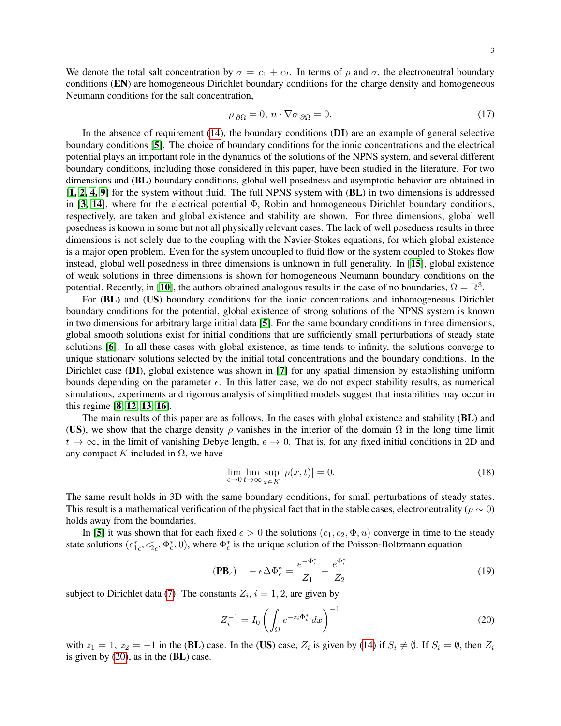We denote the total salt concentration by  $\sigma = c_1 + c_2$ . In terms of  $\rho$  and  $\sigma$ , the electroneutral boundary conditions (EN) are homogeneous Dirichlet boundary conditions for the charge density and homogeneous Neumann conditions for the salt concentration,

$$
\rho_{|\partial\Omega} = 0, \, n \cdot \nabla \sigma_{|\partial\Omega} = 0. \tag{17}
$$

In the absence of requirement  $(14)$ , the boundary conditions  $(DI)$  are an example of general selective boundary conditions [[5](#page-19-0)]. The choice of boundary conditions for the ionic concentrations and the electrical potential plays an important role in the dynamics of the solutions of the NPNS system, and several different boundary conditions, including those considered in this paper, have been studied in the literature. For two dimensions and (BL) boundary conditions, global well posedness and asymptotic behavior are obtained in [[1,](#page-19-3) [2,](#page-19-4) [4,](#page-19-5) [9](#page-19-6)] for the system without fluid. The full NPNS system with (BL) in two dimensions is addressed in [[3,](#page-19-7) [14](#page-19-8)], where for the electrical potential  $\Phi$ , Robin and homogeneous Dirichlet boundary conditions, respectively, are taken and global existence and stability are shown. For three dimensions, global well posedness is known in some but not all physically relevant cases. The lack of well posedness results in three dimensions is not solely due to the coupling with the Navier-Stokes equations, for which global existence is a major open problem. Even for the system uncoupled to fluid flow or the system coupled to Stokes flow instead, global well posedness in three dimensions is unknown in full generality. In [[15](#page-19-9)], global existence of weak solutions in three dimensions is shown for homogeneous Neumann boundary conditions on the potential. Recently, in [[10](#page-19-10)], the authors obtained analogous results in the case of no boundaries,  $\Omega = \mathbb{R}^3$ .

For (BL) and (US) boundary conditions for the ionic concentrations and inhomogeneous Dirichlet boundary conditions for the potential, global existence of strong solutions of the NPNS system is known in two dimensions for arbitrary large initial data [[5](#page-19-0)]. For the same boundary conditions in three dimensions, global smooth solutions exist for initial conditions that are sufficiently small perturbations of steady state solutions [[6](#page-19-1)]. In all these cases with global existence, as time tends to infinity, the solutions converge to unique stationary solutions selected by the initial total concentrations and the boundary conditions. In the Dirichlet case (DI), global existence was shown in [[7](#page-19-11)] for any spatial dimension by establishing uniform bounds depending on the parameter  $\epsilon$ . In this latter case, we do not expect stability results, as numerical simulations, experiments and rigorous analysis of simplified models suggest that instabilities may occur in this regime [[8,](#page-19-12) [12,](#page-19-13) [13,](#page-19-14) [16](#page-19-15)].

The main results of this paper are as follows. In the cases with global existence and stability (BL) and (US), we show that the charge density  $\rho$  vanishes in the interior of the domain  $\Omega$  in the long time limit  $t \to \infty$ , in the limit of vanishing Debye length,  $\epsilon \to 0$ . That is, for any fixed initial conditions in 2D and any compact K included in  $\Omega$ , we have

<span id="page-2-1"></span>
$$
\lim_{\epsilon \to 0} \lim_{t \to \infty} \sup_{x \in K} |\rho(x, t)| = 0.
$$
\n(18)

The same result holds in 3D with the same boundary conditions, for small perturbations of steady states. This result is a mathematical verification of the physical fact that in the stable cases, electroneutrality ( $\rho \sim 0$ ) holds away from the boundaries.

In [[5](#page-19-0)] it was shown that for each fixed  $\epsilon > 0$  the solutions  $(c_1, c_2, \Phi, u)$  converge in time to the steady state solutions  $(c_{1\epsilon}^*, c_{2\epsilon}^*, \Phi_{\epsilon}^*, 0)$ , where  $\Phi_{\epsilon}^*$  is the unique solution of the Poisson-Boltzmann equation

$$
(\mathbf{PB}_{\epsilon}) \quad -\epsilon \Delta \Phi_{\epsilon}^* = \frac{e^{-\Phi_{\epsilon}^*}}{Z_1} - \frac{e^{\Phi_{\epsilon}^*}}{Z_2}
$$
 (19)

subject to Dirichlet data [\(7\)](#page-1-0). The constants  $Z_i$ ,  $i = 1, 2$ , are given by

<span id="page-2-0"></span>
$$
Z_i^{-1} = I_0 \left( \int_{\Omega} e^{-z_i \Phi_{\epsilon}^*} dx \right)^{-1} \tag{20}
$$

with  $z_1 = 1$ ,  $z_2 = -1$  in the (BL) case. In the (US) case,  $Z_i$  is given by [\(14\)](#page-1-1) if  $S_i \neq \emptyset$ . If  $S_i = \emptyset$ , then  $Z_i$ is given by [\(20\)](#page-2-0), as in the (BL) case.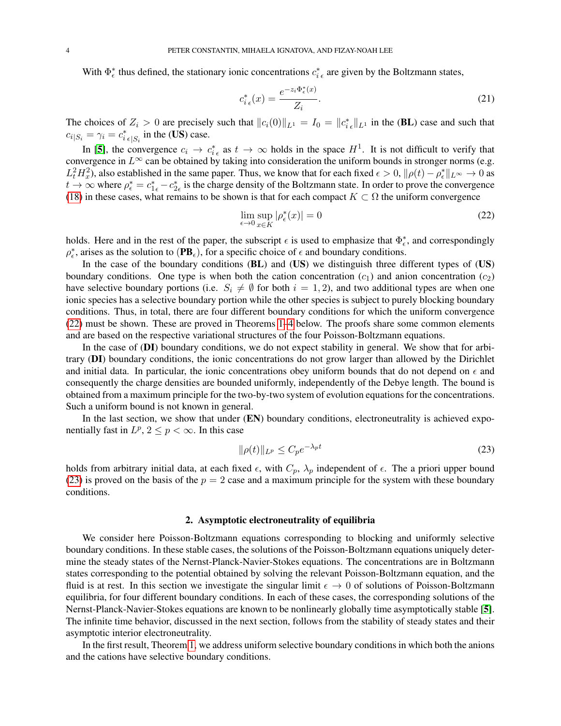With  $\Phi_{\epsilon}^*$  thus defined, the stationary ionic concentrations  $c_{i\epsilon}^*$  are given by the Boltzmann states,

$$
c_{i\epsilon}^*(x) = \frac{e^{-z_i\Phi_{\epsilon}^*(x)}}{Z_i}.
$$
\n(21)

The choices of  $Z_i > 0$  are precisely such that  $||c_i(0)||_{L^1} = I_0 = ||c_{i\epsilon}^*||_{L^1}$  in the (BL) case and such that  $c_{i|S_i} = \gamma_i = c_{i|\epsilon|S_i}^*$  in the (US) case.

In [[5](#page-19-0)], the convergence  $c_i \to c_{i\epsilon}^*$  as  $t \to \infty$  holds in the space  $H^1$ . It is not difficult to verify that convergence in  $L^{\infty}$  can be obtained by taking into consideration the uniform bounds in stronger norms (e.g.  $L_t^2H_x^2$ ), also established in the same paper. Thus, we know that for each fixed  $\epsilon > 0$ ,  $\|\rho(t) - \rho_{\epsilon}^*\|_{L^{\infty}} \to 0$  as  $t \to \infty$  where  $\rho_{\epsilon}^* = c_{1\epsilon}^* - c_{2\epsilon}^*$  is the charge density of the Boltzmann state. In order to prove the convergence [\(18\)](#page-2-1) in these cases, what remains to be shown is that for each compact  $K \subset \Omega$  the uniform convergence

<span id="page-3-0"></span>
$$
\lim_{\epsilon \to 0} \sup_{x \in K} |\rho_{\epsilon}^*(x)| = 0 \tag{22}
$$

holds. Here and in the rest of the paper, the subscript  $\epsilon$  is used to emphasize that  $\Phi_{\epsilon}^*$ , and correspondingly  $\rho_{\epsilon}^*$ , arises as the solution to  $(PB_{\epsilon})$ , for a specific choice of  $\epsilon$  and boundary conditions.

In the case of the boundary conditions (BL) and (US) we distinguish three different types of (US) boundary conditions. One type is when both the cation concentration  $(c_1)$  and anion concentration  $(c_2)$ have selective boundary portions (i.e.  $S_i \neq \emptyset$  for both  $i = 1, 2$ ), and two additional types are when one ionic species has a selective boundary portion while the other species is subject to purely blocking boundary conditions. Thus, in total, there are four different boundary conditions for which the uniform convergence [\(22\)](#page-3-0) must be shown. These are proved in Theorems [1](#page-4-0)[–4](#page-12-0) below. The proofs share some common elements and are based on the respective variational structures of the four Poisson-Boltzmann equations.

In the case of (DI) boundary conditions, we do not expect stability in general. We show that for arbitrary (DI) boundary conditions, the ionic concentrations do not grow larger than allowed by the Dirichlet and initial data. In particular, the ionic concentrations obey uniform bounds that do not depend on  $\epsilon$  and consequently the charge densities are bounded uniformly, independently of the Debye length. The bound is obtained from a maximum principle for the two-by-two system of evolution equations for the concentrations. Such a uniform bound is not known in general.

In the last section, we show that under (EN) boundary conditions, electroneutrality is achieved exponentially fast in  $L^p$ ,  $2 \le p < \infty$ . In this case

<span id="page-3-1"></span>
$$
\|\rho(t)\|_{L^p} \le C_p e^{-\lambda_p t} \tag{23}
$$

holds from arbitrary initial data, at each fixed  $\epsilon$ , with  $C_p$ ,  $\lambda_p$  independent of  $\epsilon$ . The a priori upper bound [\(23\)](#page-3-1) is proved on the basis of the  $p = 2$  case and a maximum principle for the system with these boundary conditions.

#### 2. Asymptotic electroneutrality of equilibria

We consider here Poisson-Boltzmann equations corresponding to blocking and uniformly selective boundary conditions. In these stable cases, the solutions of the Poisson-Boltzmann equations uniquely determine the steady states of the Nernst-Planck-Navier-Stokes equations. The concentrations are in Boltzmann states corresponding to the potential obtained by solving the relevant Poisson-Boltzmann equation, and the fluid is at rest. In this section we investigate the singular limit  $\epsilon \to 0$  of solutions of Poisson-Boltzmann equilibria, for four different boundary conditions. In each of these cases, the corresponding solutions of the Nernst-Planck-Navier-Stokes equations are known to be nonlinearly globally time asymptotically stable [[5](#page-19-0)]. The infinite time behavior, discussed in the next section, follows from the stability of steady states and their asymptotic interior electroneutrality.

In the first result, Theorem [1,](#page-4-0) we address uniform selective boundary conditions in which both the anions and the cations have selective boundary conditions.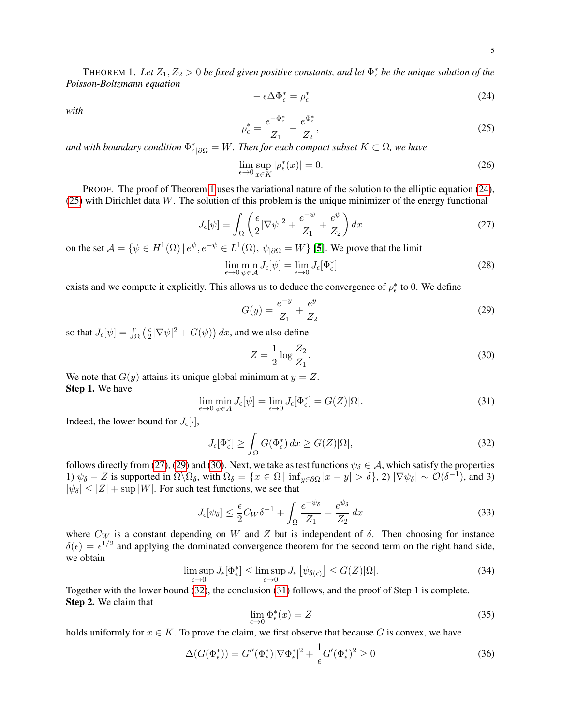<span id="page-4-0"></span>THEOREM 1. Let  $Z_1, Z_2 > 0$  be fixed given positive constants, and let  $\Phi_{\epsilon}^*$  be the unique solution of the *Poisson-Boltzmann equation*

<span id="page-4-1"></span>
$$
-\epsilon \Delta \Phi_{\epsilon}^{*} = \rho_{\epsilon}^{*} \tag{24}
$$

*with*

<span id="page-4-2"></span>
$$
\rho_{\epsilon}^{*} = \frac{e^{-\Phi_{\epsilon}^{*}}}{Z_{1}} - \frac{e^{\Phi_{\epsilon}^{*}}}{Z_{2}},
$$
\n(25)

and with boundary condition  $\Phi_{\epsilon\,|\partial\Omega}^*=W.$  Then for each compact subset  $K\subset\Omega$ , we have

$$
\lim_{\epsilon \to 0} \sup_{x \in K} |\rho_{\epsilon}^*(x)| = 0. \tag{26}
$$

PROOF. The proof of Theorem [1](#page-4-0) uses the variational nature of the solution to the elliptic equation [\(24\)](#page-4-1), [\(25\)](#page-4-2) with Dirichlet data W. The solution of this problem is the unique minimizer of the energy functional

<span id="page-4-3"></span>
$$
J_{\epsilon}[\psi] = \int_{\Omega} \left(\frac{\epsilon}{2} |\nabla \psi|^2 + \frac{e^{-\psi}}{Z_1} + \frac{e^{\psi}}{Z_2}\right) dx \tag{27}
$$

on the set  $\mathcal{A} = \{ \psi \in H^1(\Omega) \mid e^{\psi}, e^{-\psi} \in L^1(\Omega), \psi_{|\partial \Omega} = W \}$  [[5](#page-19-0)]. We prove that the limit

$$
\lim_{\epsilon \to 0} \min_{\psi \in \mathcal{A}} J_{\epsilon}[\psi] = \lim_{\epsilon \to 0} J_{\epsilon}[\Phi_{\epsilon}^*]
$$
\n(28)

exists and we compute it explicitly. This allows us to deduce the convergence of  $\rho_{\epsilon}^*$  to 0. We define

<span id="page-4-4"></span>
$$
G(y) = \frac{e^{-y}}{Z_1} + \frac{e^y}{Z_2}
$$
 (29)

so that  $J_{\epsilon}[\psi] = \int_{\Omega} \left(\frac{\epsilon}{2}\right)$  $\frac{\epsilon}{2} |\nabla \psi|^2 + G(\psi)$  dx, and we also define

<span id="page-4-5"></span>
$$
Z = \frac{1}{2}\log\frac{Z_2}{Z_1}.\tag{30}
$$

We note that  $G(y)$  attains its unique global minimum at  $y = Z$ . Step 1. We have

<span id="page-4-7"></span>
$$
\lim_{\epsilon \to 0} \min_{\psi \in A} J_{\epsilon}[\psi] = \lim_{\epsilon \to 0} J_{\epsilon}[\Phi_{\epsilon}^*] = G(Z)|\Omega|.
$$
\n(31)

Indeed, the lower bound for  $J_{\epsilon}[\cdot]$ ,

<span id="page-4-6"></span>
$$
J_{\epsilon}[\Phi_{\epsilon}^*] \ge \int_{\Omega} G(\Phi_{\epsilon}^*) dx \ge G(Z) |\Omega|,
$$
\n(32)

follows directly from [\(27\)](#page-4-3), [\(29\)](#page-4-4) and [\(30\)](#page-4-5). Next, we take as test functions  $\psi_{\delta} \in A$ , which satisfy the properties 1)  $\psi_{\delta} - Z$  is supported in  $\Omega \setminus \Omega_{\delta}$ , with  $\Omega_{\delta} = \{x \in \Omega \mid \inf_{y \in \partial \Omega} |x - y| > \delta\}$ , 2)  $|\nabla \psi_{\delta}| \sim \mathcal{O}(\delta^{-1})$ , and 3)  $|\psi_{\delta}| \leq |Z| + \sup |W|$ . For such test functions, we see that

$$
J_{\epsilon}[\psi_{\delta}] \le \frac{\epsilon}{2} C_W \delta^{-1} + \int_{\Omega} \frac{e^{-\psi_{\delta}}}{Z_1} + \frac{e^{\psi_{\delta}}}{Z_2} dx \tag{33}
$$

where  $C_W$  is a constant depending on W and Z but is independent of  $\delta$ . Then choosing for instance  $\delta(\epsilon) = \epsilon^{1/2}$  and applying the dominated convergence theorem for the second term on the right hand side, we obtain

<span id="page-4-9"></span>
$$
\limsup_{\epsilon \to 0} J_{\epsilon}[\Phi_{\epsilon}^*] \le \limsup_{\epsilon \to 0} J_{\epsilon}[\psi_{\delta(\epsilon)}] \le G(Z)|\Omega|.
$$
\n(34)

Together with the lower bound [\(32\)](#page-4-6), the conclusion [\(31\)](#page-4-7) follows, and the proof of Step 1 is complete. Step 2. We claim that

<span id="page-4-8"></span>
$$
\lim_{\epsilon \to 0} \Phi_{\epsilon}^*(x) = Z \tag{35}
$$

holds uniformly for  $x \in K$ . To prove the claim, we first observe that because G is convex, we have

$$
\Delta(G(\Phi_{\epsilon}^*)) = G''(\Phi_{\epsilon}^*)|\nabla\Phi_{\epsilon}^*|^2 + \frac{1}{\epsilon}G'(\Phi_{\epsilon}^*)^2 \ge 0
$$
\n(36)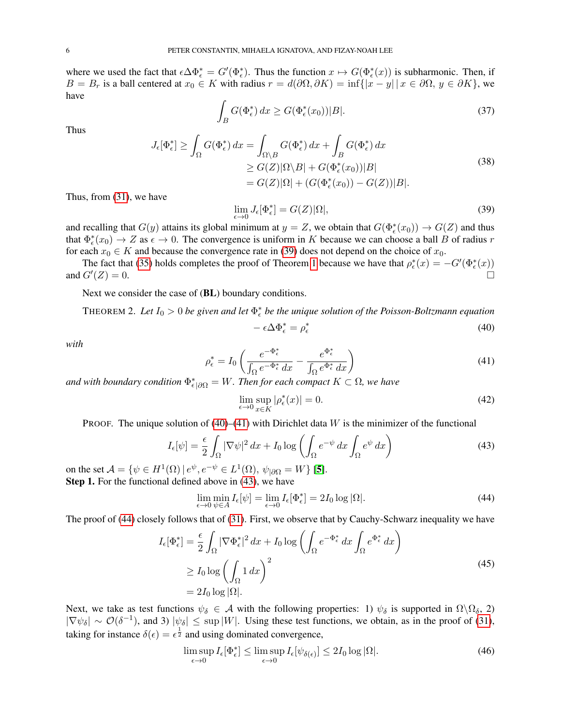where we used the fact that  $\epsilon \Delta \Phi_{\epsilon}^* = G'(\Phi_{\epsilon}^*)$ . Thus the function  $x \mapsto G(\Phi_{\epsilon}^*(x))$  is subharmonic. Then, if B = B<sub>r</sub> is a ball centered at  $x_0 \in K$  with radius  $r = d(\partial \Omega, \partial K) = \inf\{|x - y| | x \in \partial \Omega, y \in \partial K\}$ , we have

$$
\int_{B} G(\Phi_{\epsilon}^{*}) dx \ge G(\Phi_{\epsilon}^{*}(x_{0}))|B|.
$$
\n(37)

Thus

$$
J_{\epsilon}[\Phi_{\epsilon}^{*}] \ge \int_{\Omega} G(\Phi_{\epsilon}^{*}) dx = \int_{\Omega \setminus B} G(\Phi_{\epsilon}^{*}) dx + \int_{B} G(\Phi_{\epsilon}^{*}) dx
$$
  
\n
$$
\ge G(Z) |\Omega \setminus B| + G(\Phi_{\epsilon}^{*}(x_{0}))|B|
$$
  
\n
$$
= G(Z) |\Omega| + (G(\Phi_{\epsilon}^{*}(x_{0})) - G(Z))|B|.
$$
\n(38)

Thus, from [\(31\)](#page-4-7), we have

<span id="page-5-0"></span>
$$
\lim_{\epsilon \to 0} J_{\epsilon}[\Phi_{\epsilon}^*] = G(Z)|\Omega|,\tag{39}
$$

and recalling that  $G(y)$  attains its global minimum at  $y = Z$ , we obtain that  $G(\Phi_{\epsilon}^*(x_0)) \to G(Z)$  and thus that  $\Phi_{\epsilon}^*(x_0) \to Z$  as  $\epsilon \to 0$ . The convergence is uniform in K because we can choose a ball B of radius r for each  $x_0 \in K$  and because the convergence rate in [\(39\)](#page-5-0) does not depend on the choice of  $x_0$ .

The fact that [\(35\)](#page-4-8) holds completes the proof of Theorem [1](#page-4-0) because we have that  $\rho_{\epsilon}^*(x) = -G'(\Phi_{\epsilon}^*(x))$ and  $G'(Z)=0$ .  $(Z) = 0.$ 

Next we consider the case of (BL) boundary conditions.

<span id="page-5-7"></span>THEOREM 2. Let  $I_0 > 0$  be given and let  $\Phi_{\epsilon}^*$  be the unique solution of the Poisson-Boltzmann equation

<span id="page-5-1"></span>
$$
- \epsilon \Delta \Phi_{\epsilon}^{*} = \rho_{\epsilon}^{*} \tag{40}
$$

*with*

<span id="page-5-2"></span>
$$
\rho_{\epsilon}^* = I_0 \left( \frac{e^{-\Phi_{\epsilon}^*}}{\int_{\Omega} e^{-\Phi_{\epsilon}^*} dx} - \frac{e^{\Phi_{\epsilon}^*}}{\int_{\Omega} e^{\Phi_{\epsilon}^*} dx} \right)
$$
(41)

and with boundary condition  $\Phi_{\epsilon|\partial\Omega}^* = W$ . Then for each compact  $K \subset \Omega$ , we have

<span id="page-5-8"></span>
$$
\lim_{\epsilon \to 0} \sup_{x \in K} |\rho_{\epsilon}^*(x)| = 0. \tag{42}
$$

PROOF. The unique solution of  $(40)$ – $(41)$  with Dirichlet data W is the minimizer of the functional

<span id="page-5-3"></span>
$$
I_{\epsilon}[\psi] = \frac{\epsilon}{2} \int_{\Omega} |\nabla \psi|^2 dx + I_0 \log \left( \int_{\Omega} e^{-\psi} dx \int_{\Omega} e^{\psi} dx \right)
$$
(43)

on the set  $\mathcal{A} = \{ \psi \in H^1(\Omega) \mid e^{\psi}, e^{-\psi} \in L^1(\Omega), \psi_{|\partial\Omega} = W \}$  [[5](#page-19-0)]. Step 1. For the functional defined above in [\(43\)](#page-5-3), we have

<span id="page-5-4"></span>
$$
\lim_{\epsilon \to 0} \min_{\psi \in A} I_{\epsilon}[\psi] = \lim_{\epsilon \to 0} I_{\epsilon}[\Phi_{\epsilon}^*] = 2I_0 \log |\Omega|.
$$
\n(44)

The proof of [\(44\)](#page-5-4) closely follows that of [\(31\)](#page-4-7). First, we observe that by Cauchy-Schwarz inequality we have

<span id="page-5-5"></span>
$$
I_{\epsilon}[\Phi_{\epsilon}^*] = \frac{\epsilon}{2} \int_{\Omega} |\nabla \Phi_{\epsilon}^*|^2 dx + I_0 \log \left( \int_{\Omega} e^{-\Phi_{\epsilon}^*} dx \int_{\Omega} e^{\Phi_{\epsilon}^*} dx \right)
$$
  
\n
$$
\geq I_0 \log \left( \int_{\Omega} 1 dx \right)^2
$$
  
\n
$$
= 2I_0 \log |\Omega|.
$$
 (45)

Next, we take as test functions  $\psi_{\delta} \in A$  with the following properties: 1)  $\psi_{\delta}$  is supported in  $\Omega \backslash \Omega_{\delta}$ , 2)  $|\nabla \psi_{\delta}| \sim \mathcal{O}(\delta^{-1})$ , and 3)  $|\psi_{\delta}| \leq \sup |W|$ . Using these test functions, we obtain, as in the proof of [\(31\)](#page-4-7), taking for instance  $\delta(\epsilon) = \epsilon^{\frac{1}{2}}$  and using dominated convergence,

<span id="page-5-6"></span>
$$
\limsup_{\epsilon \to 0} I_{\epsilon}[\Phi_{\epsilon}^*] \le \limsup_{\epsilon \to 0} I_{\epsilon}[\psi_{\delta(\epsilon)}] \le 2I_0 \log |\Omega|.
$$
\n(46)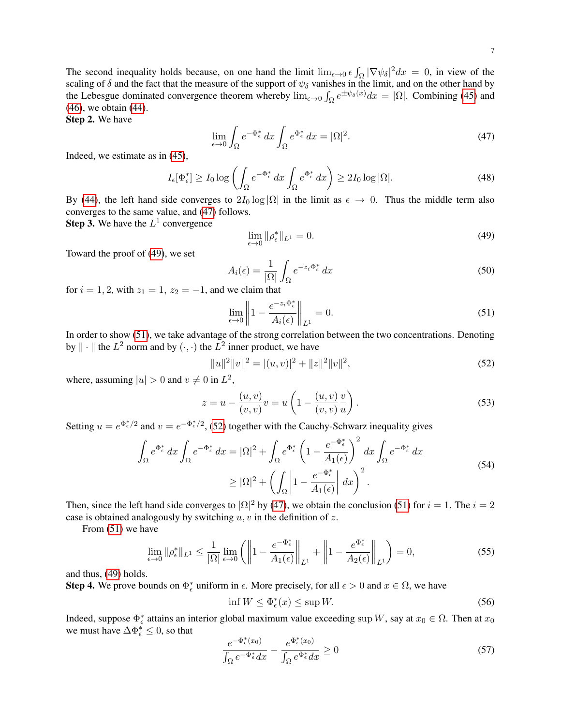The second inequality holds because, on one hand the limit  $\lim_{\epsilon \to 0} \epsilon \int_{\Omega} |\nabla \psi_{\delta}|^2 dx = 0$ , in view of the scaling of  $\delta$  and the fact that the measure of the support of  $\psi_{\delta}$  vanishes in the limit, and on the other hand by the Lebesgue dominated convergence theorem whereby  $\lim_{\epsilon \to 0} \int_{\Omega} e^{\pm \psi_{\delta}(x)} dx = |\Omega|$ . Combining [\(45\)](#page-5-5) and [\(46\)](#page-5-6), we obtain [\(44\)](#page-5-4).

Step 2. We have

<span id="page-6-0"></span>
$$
\lim_{\epsilon \to 0} \int_{\Omega} e^{-\Phi_{\epsilon}^{*}} dx \int_{\Omega} e^{\Phi_{\epsilon}^{*}} dx = |\Omega|^{2}.
$$
\n(47)

Indeed, we estimate as in [\(45\)](#page-5-5),

$$
I_{\epsilon}[\Phi_{\epsilon}^*] \ge I_0 \log \left( \int_{\Omega} e^{-\Phi_{\epsilon}^*} dx \int_{\Omega} e^{\Phi_{\epsilon}^*} dx \right) \ge 2I_0 \log |\Omega|.
$$
 (48)

By [\(44\)](#page-5-4), the left hand side converges to  $2I_0 \log |\Omega|$  in the limit as  $\epsilon \to 0$ . Thus the middle term also converges to the same value, and [\(47\)](#page-6-0) follows.

**Step 3.** We have the  $L^1$  convergence

<span id="page-6-1"></span>
$$
\lim_{\epsilon \to 0} \|\rho_{\epsilon}^*\|_{L^1} = 0. \tag{49}
$$

Toward the proof of [\(49\)](#page-6-1), we set

$$
A_i(\epsilon) = \frac{1}{|\Omega|} \int_{\Omega} e^{-z_i \Phi_{\epsilon}^*} dx \tag{50}
$$

for  $i = 1, 2$ , with  $z_1 = 1$ ,  $z_2 = -1$ , and we claim that

<span id="page-6-2"></span>
$$
\lim_{\epsilon \to 0} \left\| 1 - \frac{e^{-z_i \Phi_{\epsilon}^*}}{A_i(\epsilon)} \right\|_{L^1} = 0.
$$
\n(51)

In order to show [\(51\)](#page-6-2), we take advantage of the strong correlation between the two concentrations. Denoting by  $\|\cdot\|$  the  $L^2$  norm and by  $(\cdot, \cdot)$  the  $L^2$  inner product, we have

<span id="page-6-3"></span>
$$
||u||2||v||2 = |(u, v)|2 + ||z||2||v||2,
$$
\n(52)

where, assuming  $|u| > 0$  and  $v \neq 0$  in  $L^2$ ,

$$
z = u - \frac{(u, v)}{(v, v)}v = u \left(1 - \frac{(u, v)}{(v, v)}\frac{v}{u}\right).
$$
 (53)

Setting  $u = e^{\Phi_{\epsilon}^*/2}$  and  $v = e^{-\Phi_{\epsilon}^*/2}$ , [\(52\)](#page-6-3) together with the Cauchy-Schwarz inequality gives

$$
\int_{\Omega} e^{\Phi_{\epsilon}^{*}} dx \int_{\Omega} e^{-\Phi_{\epsilon}^{*}} dx = |\Omega|^{2} + \int_{\Omega} e^{\Phi_{\epsilon}^{*}} \left(1 - \frac{e^{-\Phi_{\epsilon}^{*}}}{A_{1}(\epsilon)}\right)^{2} dx \int_{\Omega} e^{-\Phi_{\epsilon}^{*}} dx
$$
\n
$$
\geq |\Omega|^{2} + \left(\int_{\Omega} \left|1 - \frac{e^{-\Phi_{\epsilon}^{*}}}{A_{1}(\epsilon)}\right| dx\right)^{2}.
$$
\n(54)

Then, since the left hand side converges to  $|\Omega|^2$  by [\(47\)](#page-6-0), we obtain the conclusion [\(51\)](#page-6-2) for  $i = 1$ . The  $i = 2$ case is obtained analogously by switching  $u, v$  in the definition of z.

From [\(51\)](#page-6-2) we have

$$
\lim_{\epsilon \to 0} \|\rho_{\epsilon}^*\|_{L^1} \le \frac{1}{|\Omega|} \lim_{\epsilon \to 0} \left( \left\| 1 - \frac{e^{-\Phi_{\epsilon}^*}}{A_1(\epsilon)} \right\|_{L^1} + \left\| 1 - \frac{e^{\Phi_{\epsilon}^*}}{A_2(\epsilon)} \right\|_{L^1} \right) = 0, \tag{55}
$$

and thus, [\(49\)](#page-6-1) holds.

**Step 4.** We prove bounds on  $\Phi_{\epsilon}^*$  uniform in  $\epsilon$ . More precisely, for all  $\epsilon > 0$  and  $x \in \Omega$ , we have

<span id="page-6-5"></span>
$$
\inf W \le \Phi_{\epsilon}^*(x) \le \sup W. \tag{56}
$$

Indeed, suppose  $\Phi_{\epsilon}^*$  attains an interior global maximum value exceeding sup W, say at  $x_0 \in \Omega$ . Then at  $x_0$ we must have  $\Delta \Phi_{\epsilon}^{*} \leq 0$ , so that

<span id="page-6-4"></span>
$$
\frac{e^{-\Phi_{\epsilon}^*(x_0)}}{\int_{\Omega} e^{-\Phi_{\epsilon}^*} dx} - \frac{e^{\Phi_{\epsilon}^*(x_0)}}{\int_{\Omega} e^{\Phi_{\epsilon}^*} dx} \ge 0
$$
\n(57)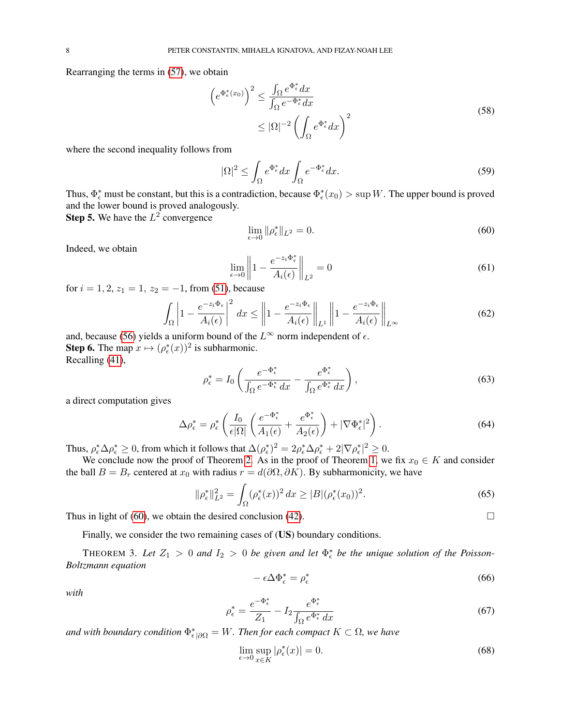Rearranging the terms in [\(57\)](#page-6-4), we obtain

$$
\left(e^{\Phi_{\epsilon}^*(x_0)}\right)^2 \le \frac{\int_{\Omega} e^{\Phi_{\epsilon}^*} dx}{\int_{\Omega} e^{-\Phi_{\epsilon}^*} dx}
$$
  
 
$$
\le |\Omega|^{-2} \left(\int_{\Omega} e^{\Phi_{\epsilon}^*} dx\right)^2
$$
 (58)

where the second inequality follows from

$$
|\Omega|^2 \le \int_{\Omega} e^{\Phi_{\epsilon}^*} dx \int_{\Omega} e^{-\Phi_{\epsilon}^*} dx.
$$
\n(59)

Thus,  $\Phi_{\epsilon}^*$  must be constant, but this is a contradiction, because  $\Phi_{\epsilon}^*(x_0) > \sup W$ . The upper bound is proved and the lower bound is proved analogously.

**Step 5.** We have the  $L^2$  convergence

<span id="page-7-0"></span>
$$
\lim_{\epsilon \to 0} \|\rho_{\epsilon}^*\|_{L^2} = 0. \tag{60}
$$

Indeed, we obtain

$$
\lim_{\epsilon \to 0} \left\| 1 - \frac{e^{-z_i \Phi_{\epsilon}^*}}{A_i(\epsilon)} \right\|_{L^2} = 0 \tag{61}
$$

for  $i = 1, 2, z_1 = 1, z_2 = -1$ , from [\(51\)](#page-6-2), because

$$
\int_{\Omega} \left| 1 - \frac{e^{-z_i \Phi_{\epsilon}}}{A_i(\epsilon)} \right|^2 dx \leq \left\| 1 - \frac{e^{-z_i \Phi_{\epsilon}}}{A_i(\epsilon)} \right\|_{L^1} \left\| 1 - \frac{e^{-z_i \Phi_{\epsilon}}}{A_i(\epsilon)} \right\|_{L^{\infty}}
$$
\n(62)

and, because [\(56\)](#page-6-5) yields a uniform bound of the  $L^{\infty}$  norm independent of  $\epsilon$ . **Step 6.** The map  $x \mapsto (\rho_{\epsilon}^*(x))^2$  is subharmonic. Recalling [\(41\)](#page-5-2),

$$
\rho_{\epsilon}^* = I_0 \left( \frac{e^{-\Phi_{\epsilon}^*}}{\int_{\Omega} e^{-\Phi_{\epsilon}^*} dx} - \frac{e^{\Phi_{\epsilon}^*}}{\int_{\Omega} e^{\Phi_{\epsilon}^*} dx} \right),
$$
\n(63)

a direct computation gives

$$
\Delta \rho_{\epsilon}^{*} = \rho_{\epsilon}^{*} \left( \frac{I_{0}}{\epsilon |\Omega|} \left( \frac{e^{-\Phi_{\epsilon}^{*}}}{A_{1}(\epsilon)} + \frac{e^{\Phi_{\epsilon}^{*}}}{A_{2}(\epsilon)} \right) + |\nabla \Phi_{\epsilon}^{*}|^{2} \right). \tag{64}
$$

Thus,  $\rho_{\epsilon}^* \Delta \rho_{\epsilon}^* \geq 0$ , from which it follows that  $\Delta(\rho_{\epsilon}^*)^2 = 2\rho_{\epsilon}^* \Delta \rho_{\epsilon}^* + 2|\nabla \rho_{\epsilon}^*|^2 \geq 0$ .

We conclude now the proof of Theorem [2.](#page-5-7) As in the proof of Theorem [1,](#page-4-0) we fix  $x_0 \in K$  and consider the ball  $B = B_r$  centered at  $x_0$  with radius  $r = d(\partial \Omega, \partial K)$ . By subharmonicity, we have

<span id="page-7-3"></span>
$$
\|\rho_{\epsilon}^*\|_{L^2}^2 = \int_{\Omega} (\rho_{\epsilon}^*(x))^2 dx \ge |B| (\rho_{\epsilon}^*(x_0))^2. \tag{65}
$$

Thus in light of [\(60\)](#page-7-0), we obtain the desired conclusion [\(42\)](#page-5-8).  $\Box$ 

Finally, we consider the two remaining cases of (US) boundary conditions.

<span id="page-7-1"></span>THEOREM 3. Let  $Z_1 > 0$  and  $I_2 > 0$  be given and let  $\Phi_{\epsilon}^*$  be the unique solution of the Poisson-*Boltzmann equation*

<span id="page-7-2"></span>
$$
-\epsilon \Delta \Phi_{\epsilon}^{*} = \rho_{\epsilon}^{*} \tag{66}
$$

*with*

<span id="page-7-4"></span>
$$
\rho_{\epsilon}^* = \frac{e^{-\Phi_{\epsilon}^*}}{Z_1} - I_2 \frac{e^{\Phi_{\epsilon}^*}}{\int_{\Omega} e^{\Phi_{\epsilon}^*} dx}
$$
(67)

and with boundary condition  $\Phi_{\epsilon|\partial\Omega}^* = W$ . Then for each compact  $K \subset \Omega$ , we have

$$
\lim_{\epsilon \to 0} \sup_{x \in K} |\rho_{\epsilon}^*(x)| = 0. \tag{68}
$$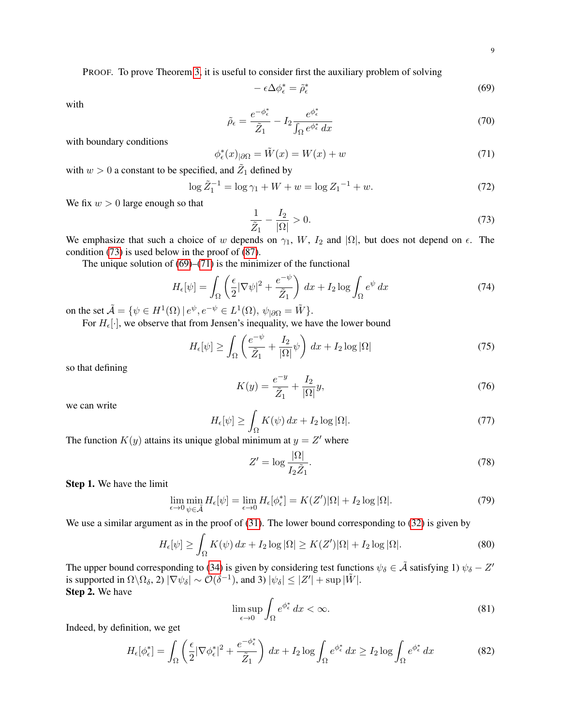PROOF. To prove Theorem [3,](#page-7-1) it is useful to consider first the auxiliary problem of solving

<span id="page-8-1"></span>
$$
-\epsilon \Delta \phi_{\epsilon}^{*} = \tilde{\rho}_{\epsilon}^{*} \tag{69}
$$

with

<span id="page-8-8"></span>
$$
\tilde{\rho}_{\epsilon} = \frac{e^{-\phi_{\epsilon}^*}}{\tilde{Z}_1} - I_2 \frac{e^{\phi_{\epsilon}^*}}{\int_{\Omega} e^{\phi_{\epsilon}^*} dx}
$$
\n(70)

with boundary conditions

<span id="page-8-2"></span>
$$
\phi_{\epsilon}^*(x)_{|\partial\Omega} = \tilde{W}(x) = W(x) + w \tag{71}
$$

with  $w > 0$  a constant to be specified, and  $\tilde{Z}_1$  defined by

$$
\log \tilde{Z}_1^{-1} = \log \gamma_1 + W + w = \log Z_1^{-1} + w. \tag{72}
$$

We fix  $w > 0$  large enough so that

<span id="page-8-0"></span>
$$
\frac{1}{\tilde{Z}_1} - \frac{I_2}{|\Omega|} > 0.
$$
\n(73)

We emphasize that such a choice of w depends on  $\gamma_1$ , W,  $I_2$  and  $|\Omega|$ , but does not depend on  $\epsilon$ . The condition [\(73\)](#page-8-0) is used below in the proof of [\(87\)](#page-9-0).

The unique solution of  $(69)$ – $(71)$  is the minimizer of the functional

$$
H_{\epsilon}[\psi] = \int_{\Omega} \left( \frac{\epsilon}{2} |\nabla \psi|^2 + \frac{e^{-\psi}}{\tilde{Z}_1} \right) dx + I_2 \log \int_{\Omega} e^{\psi} dx \tag{74}
$$

on the set  $\tilde{\mathcal{A}} = \{ \psi \in H^1(\Omega) \mid e^{\psi}, e^{-\psi} \in L^1(\Omega), \psi_{|\partial \Omega} = \tilde{W} \}.$ 

For  $H_{\epsilon}[\cdot]$ , we observe that from Jensen's inequality, we have the lower bound

<span id="page-8-5"></span>
$$
H_{\epsilon}[\psi] \ge \int_{\Omega} \left( \frac{e^{-\psi}}{\tilde{Z}_1} + \frac{I_2}{|\Omega|} \psi \right) dx + I_2 \log |\Omega| \tag{75}
$$

so that defining

$$
K(y) = \frac{e^{-y}}{\tilde{Z}_1} + \frac{I_2}{|\Omega|} y,\tag{76}
$$

we can write

<span id="page-8-6"></span>
$$
H_{\epsilon}[\psi] \ge \int_{\Omega} K(\psi) \, dx + I_2 \log |\Omega|.
$$
\n(77)

The function  $K(y)$  attains its unique global minimum at  $y = Z'$  where

<span id="page-8-7"></span>
$$
Z' = \log \frac{|\Omega|}{I_2 \tilde{Z}_1}.
$$
\n(78)

Step 1. We have the limit

<span id="page-8-3"></span>
$$
\lim_{\epsilon \to 0} \min_{\psi \in \tilde{\mathcal{A}}} H_{\epsilon}[\psi] = \lim_{\epsilon \to 0} H_{\epsilon}[\phi_{\epsilon}^*] = K(Z')|\Omega| + I_2 \log |\Omega|.
$$
\n(79)

We use a similar argument as in the proof of  $(31)$ . The lower bound corresponding to  $(32)$  is given by

$$
H_{\epsilon}[\psi] \ge \int_{\Omega} K(\psi) dx + I_2 \log |\Omega| \ge K(Z')|\Omega| + I_2 \log |\Omega|.
$$
 (80)

The upper bound corresponding to [\(34\)](#page-4-9) is given by considering test functions  $\psi_{\delta} \in \tilde{\mathcal{A}}$  satisfying 1)  $\psi_{\delta} - Z'$ is supported in  $\Omega \backslash \Omega_{\delta}$ ,  $2)$   $|\nabla \psi_{\delta}| \sim \mathcal{O}(\delta^{-1})$ , and 3)  $|\psi_{\delta}| \leq |Z'| + \sup |\tilde{W}|$ . Step 2. We have

<span id="page-8-4"></span>
$$
\limsup_{\epsilon \to 0} \int_{\Omega} e^{\phi_{\epsilon}^{*}} dx < \infty. \tag{81}
$$

Indeed, by definition, we get

$$
H_{\epsilon}[\phi_{\epsilon}^*] = \int_{\Omega} \left( \frac{\epsilon}{2} |\nabla \phi_{\epsilon}^*|^2 + \frac{e^{-\phi_{\epsilon}^*}}{\tilde{Z}_1} \right) dx + I_2 \log \int_{\Omega} e^{\phi_{\epsilon}^*} dx \ge I_2 \log \int_{\Omega} e^{\phi_{\epsilon}^*} dx \tag{82}
$$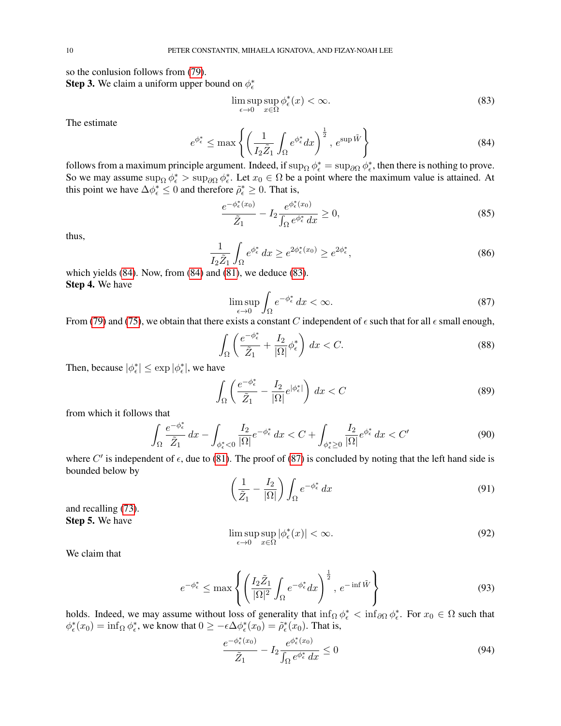so the conlusion follows from [\(79\)](#page-8-3).

**Step 3.** We claim a uniform upper bound on  $\phi_{\epsilon}^*$ 

<span id="page-9-2"></span>
$$
\limsup_{\epsilon \to 0} \sup_{x \in \Omega} \phi_{\epsilon}^*(x) < \infty. \tag{83}
$$

The estimate

<span id="page-9-1"></span>
$$
e^{\phi_{\epsilon}^{*}} \leq \max \left\{ \left( \frac{1}{I_{2} \tilde{Z}_{1}} \int_{\Omega} e^{\phi_{\epsilon}^{*}} dx \right)^{\frac{1}{2}}, e^{\sup \tilde{W}} \right\}
$$
(84)

follows from a maximum principle argument. Indeed, if  $\sup_{\Omega} \phi_{\epsilon}^* = \sup_{\partial \Omega} \phi_{\epsilon}^*$ , then there is nothing to prove. So we may assume  $\sup_{\Omega} \phi_{\epsilon}^* > \sup_{\partial \Omega} \phi_{\epsilon}^*$ . Let  $x_0 \in \Omega$  be a point where the maximum value is attained. At this point we have  $\Delta \phi_{\epsilon}^* \leq 0$  and therefore  $\tilde{\rho}_{\epsilon}^* \geq 0$ . That is,

$$
\frac{e^{-\phi_{\epsilon}^*(x_0)}}{\tilde{Z}_1} - I_2 \frac{e^{\phi_{\epsilon}^*(x_0)}}{\int_{\Omega} e^{\phi_{\epsilon}^*} dx} \ge 0,
$$
\n(85)

thus,

$$
\frac{1}{I_2 \tilde{Z}_1} \int_{\Omega} e^{\phi_{\epsilon}^*} dx \ge e^{2\phi_{\epsilon}^*(x_0)} \ge e^{2\phi_{\epsilon}^*},\tag{86}
$$

which yields  $(84)$ . Now, from  $(84)$  and  $(81)$ , we deduce  $(83)$ . Step 4. We have

<span id="page-9-0"></span>
$$
\limsup_{\epsilon \to 0} \int_{\Omega} e^{-\phi_{\epsilon}^{*}} dx < \infty. \tag{87}
$$

From [\(79\)](#page-8-3) and [\(75\)](#page-8-5), we obtain that there exists a constant C independent of  $\epsilon$  such that for all  $\epsilon$  small enough,

$$
\int_{\Omega} \left( \frac{e^{-\phi_{\epsilon}^*}}{\tilde{Z}_1} + \frac{I_2}{|\Omega|} \phi_{\epsilon}^* \right) dx < C. \tag{88}
$$

Then, because  $|\phi_{\epsilon}^*| \leq \exp |\phi_{\epsilon}^*|$ , we have

$$
\int_{\Omega} \left( \frac{e^{-\phi_{\epsilon}^*}}{\tilde{Z}_1} - \frac{I_2}{|\Omega|} e^{|\phi_{\epsilon}^*|} \right) dx < C \tag{89}
$$

from which it follows that

$$
\int_{\Omega} \frac{e^{-\phi_{\epsilon}^*}}{\tilde{Z}_1} dx - \int_{\phi_{\epsilon}^* < 0} \frac{I_2}{|\Omega|} e^{-\phi_{\epsilon}^*} dx < C + \int_{\phi_{\epsilon}^* \ge 0} \frac{I_2}{|\Omega|} e^{\phi_{\epsilon}^*} dx < C' \tag{90}
$$

where C' is independent of  $\epsilon$ , due to [\(81\)](#page-8-4). The proof of [\(87\)](#page-9-0) is concluded by noting that the left hand side is bounded below by

$$
\left(\frac{1}{\tilde{Z}_1} - \frac{I_2}{|\Omega|}\right) \int_{\Omega} e^{-\phi_{\epsilon}^*} dx \tag{91}
$$

and recalling [\(73\)](#page-8-0). Step 5. We have

<span id="page-9-3"></span>
$$
\limsup_{\epsilon \to 0} \sup_{x \in \Omega} |\phi_{\epsilon}^*(x)| < \infty. \tag{92}
$$

We claim that

$$
e^{-\phi_{\epsilon}^{*}} \leq \max \left\{ \left( \frac{I_{2} \tilde{Z}_{1}}{|\Omega|^{2}} \int_{\Omega} e^{-\phi_{\epsilon}^{*}} dx \right)^{\frac{1}{2}}, e^{-\inf \tilde{W}} \right\}
$$
(93)

holds. Indeed, we may assume without loss of generality that  $\inf_{\Omega} \phi_{\epsilon}^* < \inf_{\partial \Omega} \phi_{\epsilon}^*$ . For  $x_0 \in \Omega$  such that  $\phi_{\epsilon}^*(x_0) = \inf_{\Omega} \phi_{\epsilon}^*$ , we know that  $0 \ge -\epsilon \Delta \phi_{\epsilon}^*(x_0) = \tilde{\rho}_{\epsilon}^*(x_0)$ . That is,

$$
\frac{e^{-\phi_{\epsilon}^*(x_0)}}{\tilde{Z}_1} - I_2 \frac{e^{\phi_{\epsilon}^*(x_0)}}{\int_{\Omega} e^{\phi_{\epsilon}^*} dx} \le 0
$$
\n(94)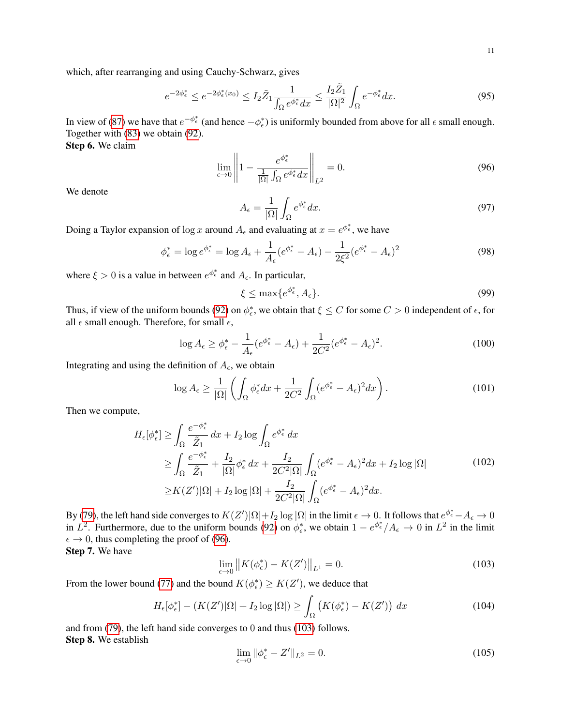which, after rearranging and using Cauchy-Schwarz, gives

$$
e^{-2\phi_{\epsilon}^*} \le e^{-2\phi_{\epsilon}^*(x_0)} \le I_2 \tilde{Z}_1 \frac{1}{\int_{\Omega} e^{\phi_{\epsilon}^*} dx} \le \frac{I_2 \tilde{Z}_1}{|\Omega|^2} \int_{\Omega} e^{-\phi_{\epsilon}^*} dx.
$$
 (95)

In view of [\(87\)](#page-9-0) we have that  $e^{-\phi_{\epsilon}^*}$  (and hence  $-\phi_{\epsilon}^*$ ) is uniformly bounded from above for all  $\epsilon$  small enough. Together with [\(83\)](#page-9-2) we obtain [\(92\)](#page-9-3).

Step 6. We claim

<span id="page-10-0"></span>
$$
\lim_{\epsilon \to 0} \left\| 1 - \frac{e^{\phi_{\epsilon}^*}}{\frac{1}{|\Omega|} \int_{\Omega} e^{\phi_{\epsilon}^*} dx} \right\|_{L^2} = 0. \tag{96}
$$

We denote

$$
A_{\epsilon} = \frac{1}{|\Omega|} \int_{\Omega} e^{\phi_{\epsilon}^{*}} dx.
$$
 (97)

Doing a Taylor expansion of  $\log x$  around  $A_{\epsilon}$  and evaluating at  $x = e^{\phi_{\epsilon}^*}$ , we have

$$
\phi_{\epsilon}^* = \log e^{\phi_{\epsilon}^*} = \log A_{\epsilon} + \frac{1}{A_{\epsilon}} (e^{\phi_{\epsilon}^*} - A_{\epsilon}) - \frac{1}{2\xi^2} (e^{\phi_{\epsilon}^*} - A_{\epsilon})^2
$$
\n(98)

where  $\xi > 0$  is a value in between  $e^{\phi_{\epsilon}^{*}}$  and  $A_{\epsilon}$ . In particular,

$$
\xi \le \max\{e^{\phi_{\epsilon}^*}, A_{\epsilon}\}.
$$
\n(99)

Thus, if view of the uniform bounds [\(92\)](#page-9-3) on  $\phi_{\epsilon}^*$ , we obtain that  $\xi \leq C$  for some  $C > 0$  independent of  $\epsilon$ , for all  $\epsilon$  small enough. Therefore, for small  $\epsilon$ ,

$$
\log A_{\epsilon} \ge \phi_{\epsilon}^* - \frac{1}{A_{\epsilon}} (e^{\phi_{\epsilon}^*} - A_{\epsilon}) + \frac{1}{2C^2} (e^{\phi_{\epsilon}^*} - A_{\epsilon})^2. \tag{100}
$$

Integrating and using the definition of  $A_{\epsilon}$ , we obtain

$$
\log A_{\epsilon} \ge \frac{1}{|\Omega|} \left( \int_{\Omega} \phi_{\epsilon}^* dx + \frac{1}{2C^2} \int_{\Omega} (e^{\phi_{\epsilon}^*} - A_{\epsilon})^2 dx \right). \tag{101}
$$

Then we compute,

$$
H_{\epsilon}[\phi_{\epsilon}^{*}] \geq \int_{\Omega} \frac{e^{-\phi_{\epsilon}^{*}}}{\tilde{Z}_{1}} dx + I_{2} \log \int_{\Omega} e^{\phi_{\epsilon}^{*}} dx
$$
  
\n
$$
\geq \int_{\Omega} \frac{e^{-\phi_{\epsilon}^{*}}}{\tilde{Z}_{1}} + \frac{I_{2}}{|\Omega|} \phi_{\epsilon}^{*} dx + \frac{I_{2}}{2C^{2}|\Omega|} \int_{\Omega} (e^{\phi_{\epsilon}^{*}} - A_{\epsilon})^{2} dx + I_{2} \log |\Omega|
$$
  
\n
$$
\geq K(Z')|\Omega| + I_{2} \log |\Omega| + \frac{I_{2}}{2C^{2}|\Omega|} \int_{\Omega} (e^{\phi_{\epsilon}^{*}} - A_{\epsilon})^{2} dx.
$$
\n(102)

By [\(79\)](#page-8-3), the left hand side converges to  $K(Z')|\Omega|+I_2\log |\Omega|$  in the limit  $\epsilon\to 0$ . It follows that  $e^{\phi_\epsilon^*}-A_\epsilon\to 0$ in  $L^2$ . Furthermore, due to the uniform bounds [\(92\)](#page-9-3) on  $\phi_{\epsilon}^*$ , we obtain  $1 - e^{\phi_{\epsilon}^*}/A_{\epsilon} \to 0$  in  $L^2$  in the limit  $\epsilon \to 0$ , thus completing the proof of [\(96\)](#page-10-0).

Step 7. We have

<span id="page-10-1"></span>
$$
\lim_{\epsilon \to 0} \|K(\phi_{\epsilon}^*) - K(Z')\|_{L^1} = 0.
$$
\n(103)

From the lower bound [\(77\)](#page-8-6) and the bound  $K(\phi_{\epsilon}^*) \ge K(Z')$ , we deduce that

$$
H_{\epsilon}[\phi_{\epsilon}^*] - (K(Z')|\Omega| + I_2 \log |\Omega|) \ge \int_{\Omega} \left( K(\phi_{\epsilon}^*) - K(Z') \right) dx \tag{104}
$$

and from [\(79\)](#page-8-3), the left hand side converges to 0 and thus [\(103\)](#page-10-1) follows. Step 8. We establish

<span id="page-10-2"></span>
$$
\lim_{\epsilon \to 0} \|\phi_{\epsilon}^* - Z'\|_{L^2} = 0. \tag{105}
$$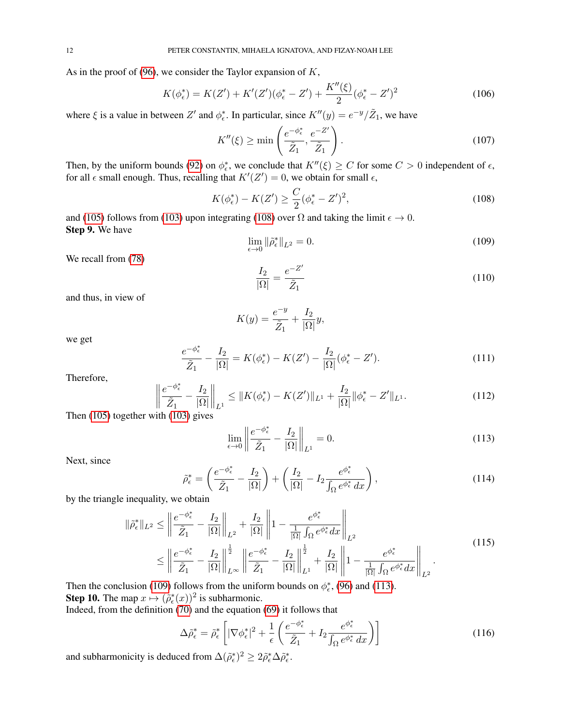As in the proof of [\(96\)](#page-10-0), we consider the Taylor expansion of  $K$ ,

$$
K(\phi_{\epsilon}^{*}) = K(Z') + K'(Z')(\phi_{\epsilon}^{*} - Z') + \frac{K''(\xi)}{2}(\phi_{\epsilon}^{*} - Z')^{2}
$$
 (106)

where  $\xi$  is a value in between  $Z'$  and  $\phi_{\epsilon}^*$ . In particular, since  $K''(y) = e^{-y}/\tilde{Z}_1$ , we have

$$
K''(\xi) \ge \min\left(\frac{e^{-\phi_{\epsilon}^*}}{\tilde{Z}_1}, \frac{e^{-Z'}}{\tilde{Z}_1}\right). \tag{107}
$$

Then, by the uniform bounds [\(92\)](#page-9-3) on  $\phi_{\epsilon}^*$ , we conclude that  $K''(\xi) \geq C$  for some  $C > 0$  independent of  $\epsilon$ , for all  $\epsilon$  small enough. Thus, recalling that  $K'(Z') = 0$ , we obtain for small  $\epsilon$ ,

<span id="page-11-0"></span>
$$
K(\phi_{\epsilon}^{*}) - K(Z') \ge \frac{C}{2}(\phi_{\epsilon}^{*} - Z')^{2},\tag{108}
$$

and [\(105\)](#page-10-2) follows from [\(103\)](#page-10-1) upon integrating [\(108\)](#page-11-0) over  $\Omega$  and taking the limit  $\epsilon \to 0$ . Step 9. We have

<span id="page-11-1"></span>
$$
\lim_{\epsilon \to 0} \|\tilde{\rho}_{\epsilon}^*\|_{L^2} = 0. \tag{109}
$$

We recall from [\(78\)](#page-8-7)

$$
\frac{I_2}{|\Omega|} = \frac{e^{-Z'}}{\tilde{Z}_1} \tag{110}
$$

and thus, in view of

$$
K(y) = \frac{e^{-y}}{\tilde{Z}_1} + \frac{I_2}{|\Omega|}y,
$$

we get

$$
\frac{e^{-\phi_{\epsilon}^{*}}}{\tilde{Z}_{1}} - \frac{I_{2}}{|\Omega|} = K(\phi_{\epsilon}^{*}) - K(Z') - \frac{I_{2}}{|\Omega|}(\phi_{\epsilon}^{*} - Z'). \tag{111}
$$

Therefore,

$$
\left\| \frac{e^{-\phi_{\epsilon}^*}}{\tilde{Z}_1} - \frac{I_2}{|\Omega|} \right\|_{L^1} \le \|K(\phi_{\epsilon}^*) - K(Z')\|_{L^1} + \frac{I_2}{|\Omega|} \|\phi_{\epsilon}^* - Z'\|_{L^1}.
$$
\n(112)

Then [\(105\)](#page-10-2) together with [\(103\)](#page-10-1) gives

<span id="page-11-2"></span>
$$
\lim_{\epsilon \to 0} \left\| \frac{e^{-\phi_{\epsilon}^*}}{\tilde{Z}_1} - \frac{I_2}{|\Omega|} \right\|_{L^1} = 0. \tag{113}
$$

Next, since

$$
\tilde{\rho}_{\epsilon}^{*} = \left(\frac{e^{-\phi_{\epsilon}^{*}}}{\tilde{Z}_{1}} - \frac{I_{2}}{|\Omega|}\right) + \left(\frac{I_{2}}{|\Omega|} - I_{2}\frac{e^{\phi_{\epsilon}^{*}}}{\int_{\Omega} e^{\phi_{\epsilon}^{*}} dx}\right),\tag{114}
$$

by the triangle inequality, we obtain

$$
\|\tilde{\rho}_{\epsilon}^*\|_{L^2} \le \left\|\frac{e^{-\phi_{\epsilon}^*}}{\tilde{Z}_1} - \frac{I_2}{|\Omega|}\right\|_{L^2} + \frac{I_2}{|\Omega|}\left\|1 - \frac{e^{\phi_{\epsilon}^*}}{\frac{1}{|\Omega|}\int_{\Omega} e^{\phi_{\epsilon}^*} dx}\right\|_{L^2}
$$
\n
$$
\le \left\|\frac{e^{-\phi_{\epsilon}^*}}{\tilde{Z}_1} - \frac{I_2}{|\Omega|}\right\|_{L^{\infty}}^{\frac{1}{2}} \left\|\frac{e^{-\phi_{\epsilon}^*}}{\tilde{Z}_1} - \frac{I_2}{|\Omega|}\right\|_{L^1}^{\frac{1}{2}} + \frac{I_2}{|\Omega|}\left\|1 - \frac{e^{\phi_{\epsilon}^*}}{\frac{1}{|\Omega|}\int_{\Omega} e^{\phi_{\epsilon}^*} dx}\right\|_{L^2}.
$$
\n(115)

Then the conclusion [\(109\)](#page-11-1) follows from the uniform bounds on  $\phi_{\epsilon}^*$ , [\(96\)](#page-10-0) and [\(113\)](#page-11-2). **Step 10.** The map  $x \mapsto (\tilde{\rho}_{\epsilon}^*(x))^2$  is subharmonic.

Indeed, from the definition [\(70\)](#page-8-8) and the equation [\(69\)](#page-8-1) it follows that

$$
\Delta \tilde{\rho}_{\epsilon}^{*} = \tilde{\rho}_{\epsilon}^{*} \left[ |\nabla \phi_{\epsilon}^{*}|^{2} + \frac{1}{\epsilon} \left( \frac{e^{-\phi_{\epsilon}^{*}}}{\tilde{Z}_{1}} + I_{2} \frac{e^{\phi_{\epsilon}^{*}}}{\int_{\Omega} e^{\phi_{\epsilon}^{*}} dx} \right) \right]
$$
(116)

and subharmonicity is deduced from  $\Delta(\tilde{\rho}_{\epsilon}^*)^2 \geq 2\tilde{\rho}_{\epsilon}^* \Delta \tilde{\rho}_{\epsilon}^*$ .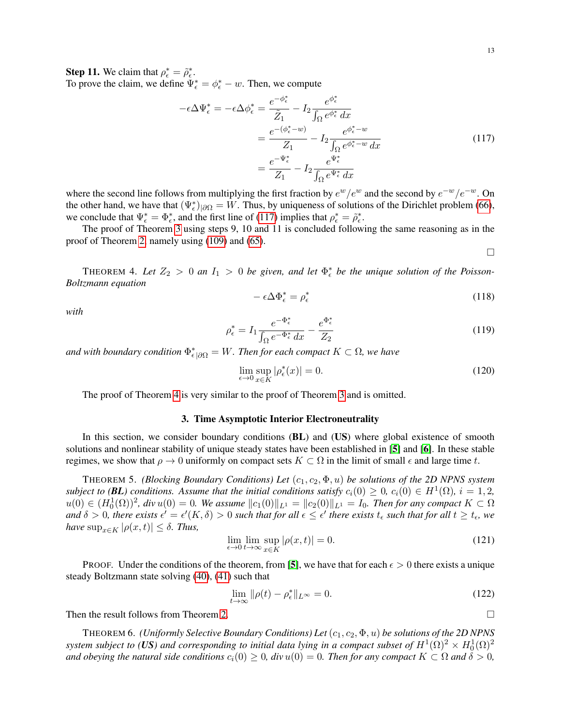**Step 11.** We claim that  $\rho_{\epsilon}^* = \tilde{\rho}_{\epsilon}^*$ . To prove the claim, we define  $\Psi_{\epsilon}^* = \phi_{\epsilon}^* - w$ . Then, we compute

<span id="page-12-1"></span>
$$
-\epsilon \Delta \Psi_{\epsilon}^{*} = -\epsilon \Delta \phi_{\epsilon}^{*} = \frac{e^{-\phi_{\epsilon}^{*}}}{\tilde{Z}_{1}} - I_{2} \frac{e^{\phi_{\epsilon}^{*}}}{\int_{\Omega} e^{\phi_{\epsilon}^{*}} dx}
$$

$$
= \frac{e^{-(\phi_{\epsilon}^{*}-w)}}{Z_{1}} - I_{2} \frac{e^{\phi_{\epsilon}^{*}-w}}{\int_{\Omega} e^{\phi_{\epsilon}^{*}-w} dx}
$$

$$
= \frac{e^{-\Psi_{\epsilon}^{*}}}{Z_{1}} - I_{2} \frac{e^{\Psi_{\epsilon}^{*}}}{\int_{\Omega} e^{\Psi_{\epsilon}^{*}} dx}
$$
(117)

where the second line follows from multiplying the first fraction by  $e^w/e^w$  and the second by  $e^{-w}/e^{-w}$ . On the other hand, we have that  $(\Psi_{\epsilon}^*)_{|\partial\Omega} = W$ . Thus, by uniqueness of solutions of the Dirichlet problem [\(66\)](#page-7-2), we conclude that  $\Psi_{\epsilon}^* = \Phi_{\epsilon}^*$ , and the first line of [\(117\)](#page-12-1) implies that  $\rho_{\epsilon}^* = \tilde{\rho}_{\epsilon}^*$ .

The proof of Theorem [3](#page-7-1) using steps 9, 10 and 11 is concluded following the same reasoning as in the proof of Theorem [2,](#page-5-7) namely using [\(109\)](#page-11-1) and [\(65\)](#page-7-3).

 $\Box$ 

<span id="page-12-0"></span>THEOREM 4. Let  $Z_2 > 0$  an  $I_1 > 0$  be given, and let  $\Phi_{\epsilon}^*$  be the unique solution of the Poisson-*Boltzmann equation*

$$
-\epsilon \Delta \Phi_{\epsilon}^{*} = \rho_{\epsilon}^{*} \tag{118}
$$

*with*

$$
\rho_{\epsilon}^{*} = I_{1} \frac{e^{-\Phi_{\epsilon}^{*}}}{\int_{\Omega} e^{-\Phi_{\epsilon}^{*}} dx} - \frac{e^{\Phi_{\epsilon}^{*}}}{Z_{2}}
$$
(119)

and with boundary condition  $\Phi_{\epsilon|\partial\Omega}^* = W$ . Then for each compact  $K \subset \Omega$ , we have

$$
\lim_{\epsilon \to 0} \sup_{x \in K} |\rho_{\epsilon}^*(x)| = 0. \tag{120}
$$

The proof of Theorem [4](#page-12-0) is very similar to the proof of Theorem [3](#page-7-1) and is omitted.

### 3. Time Asymptotic Interior Electroneutrality

<span id="page-12-4"></span>In this section, we consider boundary conditions  $(B<sub>L</sub>)$  and  $(U<sub>S</sub>)$  where global existence of smooth solutions and nonlinear stability of unique steady states have been established in [[5](#page-19-0)] and [[6](#page-19-1)]. In these stable regimes, we show that  $\rho \to 0$  uniformly on compact sets  $K \subset \Omega$  in the limit of small  $\epsilon$  and large time t.

<span id="page-12-2"></span>THEOREM 5. *(Blocking Boundary Conditions) Let*  $(c_1, c_2, \Phi, u)$  *be solutions of the 2D NPNS system subject to (BL) conditions. Assume that the initial conditions satisfy*  $c_i(0) \geq 0$ ,  $c_i(0) \in H^1(\Omega)$ ,  $i = 1, 2$ ,  $u(0) ∈ (H_0^1(Ω))^2$ , div  $u(0) = 0$ . We assume  $||c_1(0)||_{L^1} = ||c_2(0)||_{L^1} = I_0$ . Then for any compact  $K ⊂ Ω$ and  $\delta > 0$ , there exists  $\epsilon' = \epsilon'(K, \delta) > 0$  such that for all  $\epsilon \leq \epsilon'$  there exists  $t_\epsilon$  such that for all  $t \geq t_\epsilon$ , we *have*  $\sup_{x \in K} |\rho(x, t)| \leq \delta$ . *Thus,* 

$$
\lim_{\epsilon \to 0} \lim_{t \to \infty} \sup_{x \in K} |\rho(x, t)| = 0.
$$
\n(121)

PROOF. Under the conditions of the theorem, from [[5](#page-19-0)], we have that for each  $\epsilon > 0$  there exists a unique steady Boltzmann state solving [\(40\)](#page-5-1), [\(41\)](#page-5-2) such that

$$
\lim_{t \to \infty} \|\rho(t) - \rho_{\epsilon}^*\|_{L^{\infty}} = 0. \tag{122}
$$

Then the result follows from Theorem [2.](#page-5-7)

<span id="page-12-3"></span>THEOREM 6. *(Uniformly Selective Boundary Conditions) Let* (c1, c2, Φ, u) *be solutions of the 2D NPNS* system subject to (US) and corresponding to initial data lying in a compact subset of  $H^1(\Omega)^2\times H^1_0(\Omega)^2$ *and obeying the natural side conditions*  $c_i(0) \geq 0$ , div  $u(0) = 0$ . Then for any compact  $K \subset \Omega$  and  $\delta > 0$ ,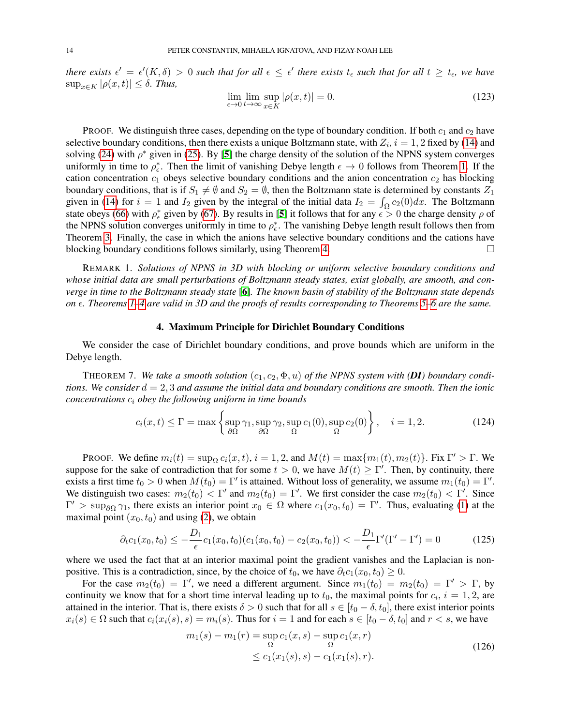*there exists*  $\epsilon' = \epsilon'(K, \delta) > 0$  *such that for all*  $\epsilon \leq \epsilon'$  *there exists*  $t_{\epsilon}$  *such that for all*  $t \geq t_{\epsilon}$ *, we have*  $\sup_{x \in K} |\rho(x, t)| \leq \delta$ . *Thus,* 

$$
\lim_{\epsilon \to 0} \lim_{t \to \infty} \sup_{x \in K} |\rho(x, t)| = 0.
$$
\n(123)

PROOF. We distinguish three cases, depending on the type of boundary condition. If both  $c_1$  and  $c_2$  have selective boundary conditions, then there exists a unique Boltzmann state, with  $Z_i$ ,  $i = 1, 2$  fixed by [\(14\)](#page-1-1) and solving [\(24\)](#page-4-1) with  $\rho^*$  given in [\(25\)](#page-4-2). By [[5](#page-19-0)] the charge density of the solution of the NPNS system converges uniformly in time to  $\rho_{\epsilon}^*$ . Then the limit of vanishing Debye length  $\epsilon \to 0$  follows from Theorem [1.](#page-4-0) If the cation concentration  $c_1$  obeys selective boundary conditions and the anion concentration  $c_2$  has blocking boundary conditions, that is if  $S_1 \neq \emptyset$  and  $S_2 = \emptyset$ , then the Boltzmann state is determined by constants  $Z_1$ given in [\(14\)](#page-1-1) for  $i = 1$  and  $I_2$  given by the integral of the initial data  $I_2 = \int_{\Omega} c_2(0) dx$ . The Boltzmann state obeys [\(66\)](#page-7-2) with  $\rho_{\epsilon}^{*}$  given by [\(67\)](#page-7-4). By results in [[5](#page-19-0)] it follows that for any  $\epsilon > 0$  the charge density  $\rho$  of the NPNS solution converges uniformly in time to  $\rho_{\epsilon}^*$ . The vanishing Debye length result follows then from Theorem [3.](#page-7-1) Finally, the case in which the anions have selective boundary conditions and the cations have blocking boundary conditions follows similarly, using Theorem [4.](#page-12-0)  $\Box$ 

REMARK 1. *Solutions of NPNS in 3D with blocking or uniform selective boundary conditions and whose initial data are small perturbations of Boltzmann steady states, exist globally, are smooth, and converge in time to the Boltzmann steady state* [[6](#page-19-1)]*. The known basin of stability of the Boltzmann state depends on . Theorems [1](#page-4-0)[–4](#page-12-0) are valid in 3D and the proofs of results corresponding to Theorems [5–](#page-12-2)[6](#page-12-3) are the same.*

## 4. Maximum Principle for Dirichlet Boundary Conditions

We consider the case of Dirichlet boundary conditions, and prove bounds which are uniform in the Debye length.

THEOREM 7. We take a smooth solution  $(c_1, c_2, \Phi, u)$  of the NPNS system with (DI) boundary condi*tions. We consider*  $d = 2, 3$  *and assume the initial data and boundary conditions are smooth. Then the ionic concentrations* c<sup>i</sup> *obey the following uniform in time bounds*

$$
c_i(x,t) \le \Gamma = \max\left\{ \sup_{\partial\Omega} \gamma_1, \sup_{\partial\Omega} \gamma_2, \sup_{\Omega} c_1(0), \sup_{\Omega} c_2(0) \right\}, \quad i = 1, 2. \tag{124}
$$

PROOF. We define  $m_i(t) = \sup_{\Omega} c_i(x, t)$ ,  $i = 1, 2$ , and  $M(t) = \max\{m_1(t), m_2(t)\}\$ . Fix  $\Gamma' > \Gamma$ . We suppose for the sake of contradiction that for some  $t > 0$ , we have  $M(t) \geq \Gamma'$ . Then, by continuity, there exists a first time  $t_0 > 0$  when  $M(t_0) = \Gamma'$  is attained. Without loss of generality, we assume  $m_1(t_0) = \Gamma'.$ We distinguish two cases:  $m_2(t_0) < \Gamma'$  and  $m_2(t_0) = \Gamma'$ . We first consider the case  $m_2(t_0) < \Gamma'$ . Since  $\Gamma' > \sup_{\partial \Omega} \gamma_1$ , there exists an interior point  $x_0 \in \Omega$  where  $c_1(x_0, t_0) = \Gamma'$ . Thus, evaluating [\(1\)](#page-0-0) at the maximal point  $(x_0, t_0)$  and using [\(2\)](#page-0-1), we obtain

<span id="page-13-0"></span>
$$
\partial_t c_1(x_0, t_0) \le -\frac{D_1}{\epsilon} c_1(x_0, t_0) (c_1(x_0, t_0) - c_2(x_0, t_0)) < -\frac{D_1}{\epsilon} \Gamma'(\Gamma' - \Gamma') = 0 \tag{125}
$$

where we used the fact that at an interior maximal point the gradient vanishes and the Laplacian is nonpositive. This is a contradiction, since, by the choice of  $t_0$ , we have  $\partial_t c_1(x_0, t_0) \geq 0$ .

For the case  $m_2(t_0) = \Gamma'$ , we need a different argument. Since  $m_1(t_0) = m_2(t_0) = \Gamma' > \Gamma$ , by continuity we know that for a short time interval leading up to  $t_0$ , the maximal points for  $c_i$ ,  $i = 1, 2$ , are attained in the interior. That is, there exists  $\delta > 0$  such that for all  $s \in [t_0 - \delta, t_0]$ , there exist interior points  $x_i(s) \in \Omega$  such that  $c_i(x_i(s), s) = m_i(s)$ . Thus for  $i = 1$  and for each  $s \in [t_0 - \delta, t_0]$  and  $r < s$ , we have

$$
m_1(s) - m_1(r) = \sup_{\Omega} c_1(x, s) - \sup_{\Omega} c_1(x, r)
$$
  
\$\leq c\_1(x\_1(s), s) - c\_1(x\_1(s), r).\$ (126)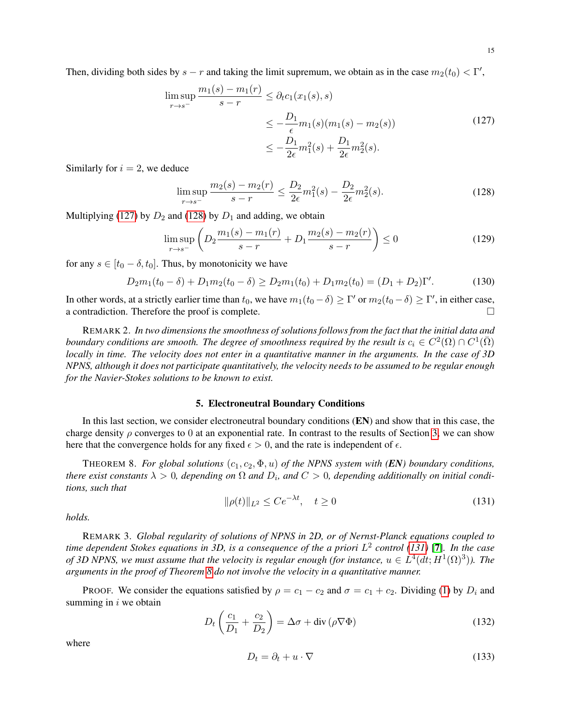Then, dividing both sides by  $s - r$  and taking the limit supremum, we obtain as in the case  $m_2(t_0) < \Gamma'$ ,

<span id="page-14-0"></span>
$$
\limsup_{r \to s^{-}} \frac{m_1(s) - m_1(r)}{s - r} \le \partial_t c_1(x_1(s), s)
$$
\n
$$
\le -\frac{D_1}{\epsilon} m_1(s) (m_1(s) - m_2(s))
$$
\n
$$
\le -\frac{D_1}{2\epsilon} m_1^2(s) + \frac{D_1}{2\epsilon} m_2^2(s).
$$
\n(127)

Similarly for  $i = 2$ , we deduce

<span id="page-14-1"></span>
$$
\limsup_{r \to s^-} \frac{m_2(s) - m_2(r)}{s - r} \le \frac{D_2}{2\epsilon} m_1^2(s) - \frac{D_2}{2\epsilon} m_2^2(s). \tag{128}
$$

Multiplying [\(127\)](#page-14-0) by  $D_2$  and [\(128\)](#page-14-1) by  $D_1$  and adding, we obtain

$$
\limsup_{r \to s^-} \left( D_2 \frac{m_1(s) - m_1(r)}{s - r} + D_1 \frac{m_2(s) - m_2(r)}{s - r} \right) \le 0 \tag{129}
$$

for any  $s \in [t_0 - \delta, t_0]$ . Thus, by monotonicity we have

$$
D_2m_1(t_0 - \delta) + D_1m_2(t_0 - \delta) \ge D_2m_1(t_0) + D_1m_2(t_0) = (D_1 + D_2)\Gamma'.\tag{130}
$$

In other words, at a strictly earlier time than  $t_0$ , we have  $m_1(t_0 - \delta) \ge \Gamma'$  or  $m_2(t_0 - \delta) \ge \Gamma'$ , in either case, a contradiction. Therefore the proof is complete.

REMARK 2. *In two dimensions the smoothness of solutions follows from the fact that the initial data and boundary conditions are smooth. The degree of smoothness required by the result is*  $c_i \in C^2(\Omega) \cap C^1(\bar{\Omega})$ *locally in time. The velocity does not enter in a quantitative manner in the arguments. In the case of 3D NPNS, although it does not participate quantitatively, the velocity needs to be assumed to be regular enough for the Navier-Stokes solutions to be known to exist.*

## 5. Electroneutral Boundary Conditions

In this last section, we consider electroneutral boundary conditions (EN) and show that in this case, the charge density  $\rho$  converges to 0 at an exponential rate. In contrast to the results of Section [3,](#page-12-4) we can show here that the convergence holds for any fixed  $\epsilon > 0$ , and the rate is independent of  $\epsilon$ .

<span id="page-14-3"></span>THEOREM 8. *For global solutions*  $(c_1, c_2, \Phi, u)$  *of the NPNS system with* (*EN*) *boundary conditions, there exist constants*  $\lambda > 0$ , depending on  $\Omega$  and  $D_i$ , and  $C > 0$ , depending additionally on initial condi*tions, such that*

<span id="page-14-2"></span>
$$
\|\rho(t)\|_{L^2} \le Ce^{-\lambda t}, \quad t \ge 0 \tag{131}
$$

*holds.*

REMARK 3. *Global regularity of solutions of NPNS in 2D, or of Nernst-Planck equations coupled to time dependent Stokes equations in 3D, is a consequence of the a priori* L 2 *control [\(131\)](#page-14-2)* [[7](#page-19-11)]*. In the case* of 3D NPNS, we must assume that the velocity is regular enough (for instance,  $u \in L^4(dt; H^1(\Omega)^3)$ ). The *arguments in the proof of Theorem [8](#page-14-3) do not involve the velocity in a quantitative manner.*

PROOF. We consider the equations satisfied by  $\rho = c_1 - c_2$  and  $\sigma = c_1 + c_2$ . Dividing [\(1\)](#page-0-0) by  $D_i$  and summing in  $i$  we obtain

$$
D_t \left( \frac{c_1}{D_1} + \frac{c_2}{D_2} \right) = \Delta \sigma + \text{div} \left( \rho \nabla \Phi \right)
$$
 (132)

where

$$
D_t = \partial_t + u \cdot \nabla \tag{133}
$$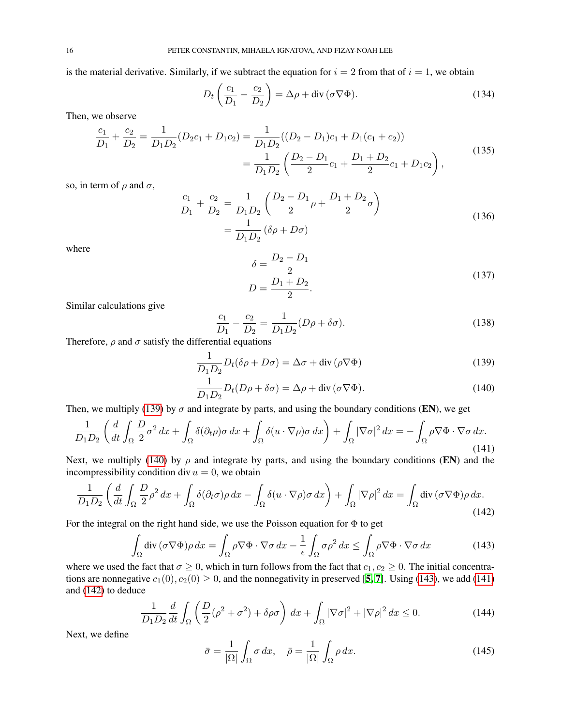is the material derivative. Similarly, if we subtract the equation for  $i = 2$  from that of  $i = 1$ , we obtain

$$
D_t \left( \frac{c_1}{D_1} - \frac{c_2}{D_2} \right) = \Delta \rho + \text{div} \left( \sigma \nabla \Phi \right). \tag{134}
$$

Then, we observe

$$
\frac{c_1}{D_1} + \frac{c_2}{D_2} = \frac{1}{D_1 D_2} (D_2 c_1 + D_1 c_2) = \frac{1}{D_1 D_2} ((D_2 - D_1)c_1 + D_1(c_1 + c_2))
$$

$$
= \frac{1}{D_1 D_2} \left( \frac{D_2 - D_1}{2} c_1 + \frac{D_1 + D_2}{2} c_1 + D_1 c_2 \right),
$$
(135)

so, in term of  $\rho$  and  $\sigma$ ,

$$
\frac{c_1}{D_1} + \frac{c_2}{D_2} = \frac{1}{D_1 D_2} \left( \frac{D_2 - D_1}{2} \rho + \frac{D_1 + D_2}{2} \sigma \right)
$$
  
= 
$$
\frac{1}{D_1 D_2} (\delta \rho + D \sigma)
$$
 (136)

where

<span id="page-15-5"></span><span id="page-15-1"></span><span id="page-15-0"></span>
$$
\delta = \frac{D_2 - D_1}{2}
$$
  

$$
D = \frac{D_1 + D_2}{2}.
$$
 (137)

Similar calculations give

$$
\frac{c_1}{D_1} - \frac{c_2}{D_2} = \frac{1}{D_1 D_2} (D\rho + \delta\sigma).
$$
\n(138)

Therefore,  $\rho$  and  $\sigma$  satisfy the differential equations

$$
\frac{1}{D_1 D_2} D_t(\delta \rho + D\sigma) = \Delta \sigma + \text{div}(\rho \nabla \Phi)
$$
\n(139)

$$
\frac{1}{D_1 D_2} D_t (D\rho + \delta \sigma) = \Delta \rho + \text{div} (\sigma \nabla \Phi).
$$
 (140)

Then, we multiply [\(139\)](#page-15-0) by  $\sigma$  and integrate by parts, and using the boundary conditions (EN), we get

<span id="page-15-3"></span>
$$
\frac{1}{D_1 D_2} \left( \frac{d}{dt} \int_{\Omega} \frac{D}{2} \sigma^2 \, dx + \int_{\Omega} \delta(\partial_t \rho) \sigma \, dx + \int_{\Omega} \delta(u \cdot \nabla \rho) \sigma \, dx \right) + \int_{\Omega} |\nabla \sigma|^2 \, dx = - \int_{\Omega} \rho \nabla \Phi \cdot \nabla \sigma \, dx. \tag{141}
$$

Next, we multiply [\(140\)](#page-15-1) by  $\rho$  and integrate by parts, and using the boundary conditions (EN) and the incompressibility condition div  $u = 0$ , we obtain

<span id="page-15-4"></span>
$$
\frac{1}{D_1 D_2} \left( \frac{d}{dt} \int_{\Omega} \frac{D}{2} \rho^2 \, dx + \int_{\Omega} \delta(\partial_t \sigma) \rho \, dx - \int_{\Omega} \delta(u \cdot \nabla \rho) \sigma \, dx \right) + \int_{\Omega} |\nabla \rho|^2 \, dx = \int_{\Omega} \text{div} \, (\sigma \nabla \Phi) \rho \, dx. \tag{142}
$$

For the integral on the right hand side, we use the Poisson equation for  $\Phi$  to get

<span id="page-15-2"></span>
$$
\int_{\Omega} \operatorname{div} \left( \sigma \nabla \Phi \right) \rho \, dx = \int_{\Omega} \rho \nabla \Phi \cdot \nabla \sigma \, dx - \frac{1}{\epsilon} \int_{\Omega} \sigma \rho^2 \, dx \le \int_{\Omega} \rho \nabla \Phi \cdot \nabla \sigma \, dx \tag{143}
$$

where we used the fact that  $\sigma \geq 0$ , which in turn follows from the fact that  $c_1, c_2 \geq 0$ . The initial concentrations are nonnegative  $c_1(0), c_2(0) \ge 0$ , and the nonnegativity in preserved [[5,](#page-19-0) [7](#page-19-11)]. Using [\(143\)](#page-15-2), we add [\(141\)](#page-15-3) and [\(142\)](#page-15-4) to deduce

<span id="page-15-6"></span>
$$
\frac{1}{D_1 D_2} \frac{d}{dt} \int_{\Omega} \left( \frac{D}{2} (\rho^2 + \sigma^2) + \delta \rho \sigma \right) dx + \int_{\Omega} |\nabla \sigma|^2 + |\nabla \rho|^2 dx \le 0.
$$
 (144)

Next, we define

$$
\bar{\sigma} = \frac{1}{|\Omega|} \int_{\Omega} \sigma \, dx, \quad \bar{\rho} = \frac{1}{|\Omega|} \int_{\Omega} \rho \, dx. \tag{145}
$$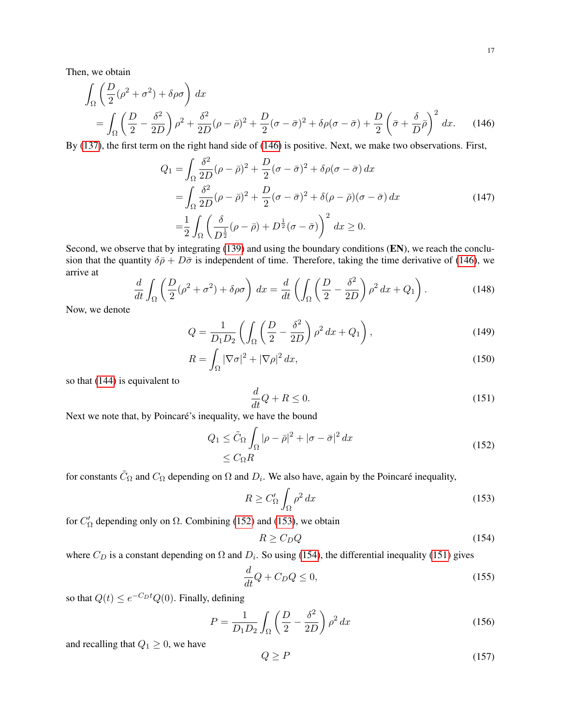Then, we obtain

$$
\int_{\Omega} \left( \frac{D}{2} (\rho^2 + \sigma^2) + \delta \rho \sigma \right) dx
$$
\n
$$
= \int_{\Omega} \left( \frac{D}{2} - \frac{\delta^2}{2D} \right) \rho^2 + \frac{\delta^2}{2D} (\rho - \bar{\rho})^2 + \frac{D}{2} (\sigma - \bar{\sigma})^2 + \delta \rho (\sigma - \bar{\sigma}) + \frac{D}{2} \left( \bar{\sigma} + \frac{\delta}{D} \bar{\rho} \right)^2 dx. \tag{146}
$$

By [\(137\)](#page-15-5), the first term on the right hand side of [\(146\)](#page-16-0) is positive. Next, we make two observations. First,

<span id="page-16-0"></span>
$$
Q_1 = \int_{\Omega} \frac{\delta^2}{2D} (\rho - \bar{\rho})^2 + \frac{D}{2} (\sigma - \bar{\sigma})^2 + \delta \rho (\sigma - \bar{\sigma}) dx
$$
  
= 
$$
\int_{\Omega} \frac{\delta^2}{2D} (\rho - \bar{\rho})^2 + \frac{D}{2} (\sigma - \bar{\sigma})^2 + \delta (\rho - \bar{\rho}) (\sigma - \bar{\sigma}) dx
$$
  
= 
$$
\frac{1}{2} \int_{\Omega} \left( \frac{\delta}{D^{\frac{1}{2}}} (\rho - \bar{\rho}) + D^{\frac{1}{2}} (\sigma - \bar{\sigma}) \right)^2 dx \ge 0.
$$
 (147)

Second, we observe that by integrating [\(139\)](#page-15-0) and using the boundary conditions (EN), we reach the conclusion that the quantity  $\delta \bar{\rho} + D \bar{\sigma}$  is independent of time. Therefore, taking the time derivative of [\(146\)](#page-16-0), we arrive at

$$
\frac{d}{dt} \int_{\Omega} \left( \frac{D}{2} (\rho^2 + \sigma^2) + \delta \rho \sigma \right) dx = \frac{d}{dt} \left( \int_{\Omega} \left( \frac{D}{2} - \frac{\delta^2}{2D} \right) \rho^2 dx + Q_1 \right). \tag{148}
$$

Now, we denote

$$
Q = \frac{1}{D_1 D_2} \left( \int_{\Omega} \left( \frac{D}{2} - \frac{\delta^2}{2D} \right) \rho^2 dx + Q_1 \right),\tag{149}
$$

$$
R = \int_{\Omega} |\nabla \sigma|^2 + |\nabla \rho|^2 dx,
$$
\n(150)

so that [\(144\)](#page-15-6) is equivalent to

<span id="page-16-4"></span>
$$
\frac{d}{dt}Q + R \le 0.\tag{151}
$$

Next we note that, by Poincaré's inequality, we have the bound

<span id="page-16-1"></span>
$$
Q_1 \leq \tilde{C}_{\Omega} \int_{\Omega} |\rho - \bar{\rho}|^2 + |\sigma - \bar{\sigma}|^2 dx
$$
  
\$\leq C\_{\Omega}R\$ (152)

for constants  $\tilde{C}_{\Omega}$  and  $C_{\Omega}$  depending on  $\Omega$  and  $D_i$ . We also have, again by the Poincaré inequality,

<span id="page-16-2"></span>
$$
R \ge C'_{\Omega} \int_{\Omega} \rho^2 dx \tag{153}
$$

for  $C'_{\Omega}$  depending only on  $\Omega$ . Combining [\(152\)](#page-16-1) and [\(153\)](#page-16-2), we obtain

<span id="page-16-3"></span>
$$
R \ge C_D Q \tag{154}
$$

where  $C_D$  is a constant depending on  $\Omega$  and  $D_i$ . So using [\(154\)](#page-16-3), the differential inequality [\(151\)](#page-16-4) gives

$$
\frac{d}{dt}Q + C_D Q \le 0,\t\t(155)
$$

so that  $Q(t) \leq e^{-C_D t} Q(0)$ . Finally, defining

$$
P = \frac{1}{D_1 D_2} \int_{\Omega} \left(\frac{D}{2} - \frac{\delta^2}{2D}\right) \rho^2 dx \tag{156}
$$

and recalling that  $Q_1 \geq 0$ , we have

$$
Q \ge P \tag{157}
$$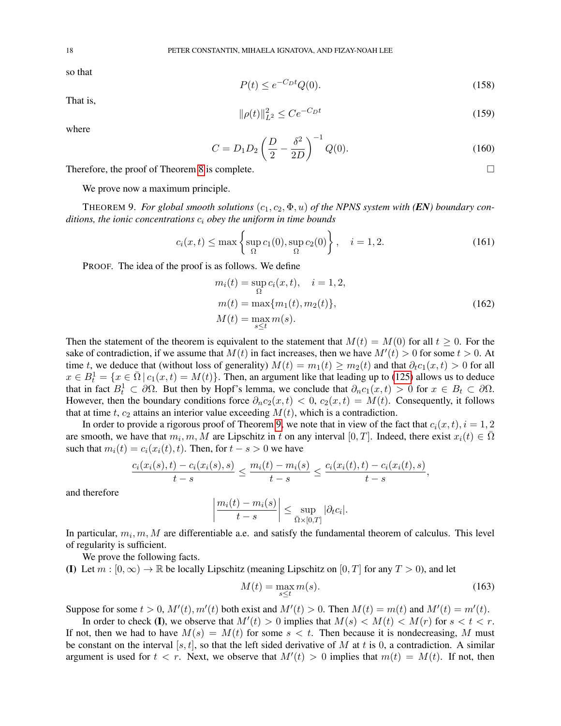so that

$$
P(t) \le e^{-C_D t} Q(0). \tag{158}
$$

That is,

$$
\|\rho(t)\|_{L^2}^2 \le Ce^{-C_D t} \tag{159}
$$

where

$$
C = D_1 D_2 \left(\frac{D}{2} - \frac{\delta^2}{2D}\right)^{-1} Q(0).
$$
 (160)

Therefore, the proof of Theorem [8](#page-14-3) is complete.  $\Box$ 

We prove now a maximum principle.

<span id="page-17-0"></span>THEOREM 9. For global smooth solutions  $(c_1, c_2, \Phi, u)$  of the NPNS system with (EN) boundary con*ditions, the ionic concentrations* c<sup>i</sup> *obey the uniform in time bounds*

$$
c_i(x,t) \le \max\left\{\sup_{\Omega} c_1(0), \sup_{\Omega} c_2(0)\right\}, \quad i=1,2. \tag{161}
$$

PROOF. The idea of the proof is as follows. We define

$$
m_i(t) = \sup_{\Omega} c_i(x, t), \quad i = 1, 2,
$$
  
\n
$$
m(t) = \max\{m_1(t), m_2(t)\},
$$
  
\n
$$
M(t) = \max_{s \le t} m(s).
$$
\n(162)

Then the statement of the theorem is equivalent to the statement that  $M(t) = M(0)$  for all  $t \ge 0$ . For the sake of contradiction, if we assume that  $M(t)$  in fact increases, then we have  $M'(t) > 0$  for some  $t > 0$ . At time t, we deduce that (without loss of generality)  $M(t) = m_1(t) \ge m_2(t)$  and that  $\partial_t c_1(x, t) > 0$  for all  $x \in B_t^1 = \{x \in \overline{\Omega} \mid c_1(x,t) = M(t)\}\.$  Then, an argument like that leading up to [\(125\)](#page-13-0) allows us to deduce that in fact  $B_t^1 \subset \partial \Omega$ . But then by Hopf's lemma, we conclude that  $\partial_n c_1(x,t) > 0$  for  $x \in B_t \subset \partial \Omega$ . However, then the boundary conditions force  $\partial_n c_2(x,t) < 0$ ,  $c_2(x,t) = M(t)$ . Consequently, it follows that at time t,  $c_2$  attains an interior value exceeding  $M(t)$ , which is a contradiction.

In order to provide a rigorous proof of Theorem [9,](#page-17-0) we note that in view of the fact that  $c_i(x, t)$ ,  $i = 1, 2$ are smooth, we have that  $m_i, m, \tilde{M}$  are Lipschitz in t on any interval  $[0, T]$ . Indeed, there exist  $x_i(t) \in \overline{\Omega}$ such that  $m_i(t) = c_i(x_i(t), t)$ . Then, for  $t - s > 0$  we have

$$
\frac{c_i(x_i(s),t) - c_i(x_i(s),s)}{t-s} \le \frac{m_i(t) - m_i(s)}{t-s} \le \frac{c_i(x_i(t),t) - c_i(x_i(t),s)}{t-s},
$$

and therefore

$$
\left|\frac{m_i(t)-m_i(s)}{t-s}\right| \leq \sup_{\bar{\Omega}\times[0,T]} |\partial_t c_i|.
$$

In particular,  $m_i, m, M$  are differentiable a.e. and satisfy the fundamental theorem of calculus. This level of regularity is sufficient.

We prove the following facts.

(I) Let  $m : [0, \infty) \to \mathbb{R}$  be locally Lipschitz (meaning Lipschitz on  $[0, T]$  for any  $T > 0$ ), and let

$$
M(t) = \max_{s \le t} m(s). \tag{163}
$$

Suppose for some  $t > 0$ ,  $M'(t)$ ,  $m'(t)$  both exist and  $M'(t) > 0$ . Then  $M(t) = m(t)$  and  $M'(t) = m'(t)$ .

In order to check (I), we observe that  $M'(t) > 0$  implies that  $M(s) < M(t) < M(r)$  for  $s < t < r$ . If not, then we had to have  $M(s) = M(t)$  for some  $s < t$ . Then because it is nondecreasing, M must be constant on the interval [s, t], so that the left sided derivative of M at t is 0, a contradiction. A similar argument is used for  $t < r$ . Next, we observe that  $M'(t) > 0$  implies that  $m(t) = M(t)$ . If not, then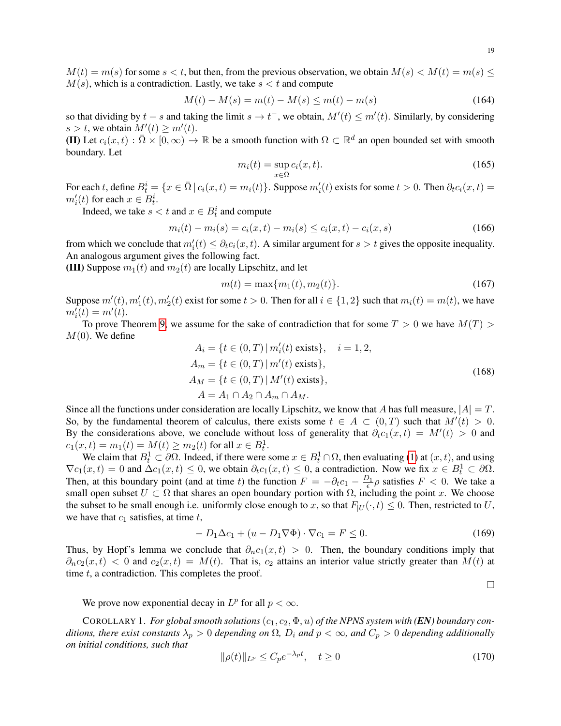$M(t) = m(s)$  for some  $s < t$ , but then, from the previous observation, we obtain  $M(s) < M(t) = m(s) \leq$  $M(s)$ , which is a contradiction. Lastly, we take  $s < t$  and compute

$$
M(t) - M(s) = m(t) - M(s) \le m(t) - m(s)
$$
\n(164)

so that dividing by  $t - s$  and taking the limit  $s \to t^-$ , we obtain,  $M'(t) \le m'(t)$ . Similarly, by considering  $s > t$ , we obtain  $M'(t) \ge m'(t)$ .

(II) Let  $c_i(x,t) : \overline{\Omega} \times [0,\infty) \to \mathbb{R}$  be a smooth function with  $\Omega \subset \mathbb{R}^d$  an open bounded set with smooth boundary. Let

$$
m_i(t) = \sup_{x \in \bar{\Omega}} c_i(x, t). \tag{165}
$$

For each t, define  $B_t^i = \{x \in \bar{\Omega} \mid c_i(x,t) = m_i(t)\}\$ . Suppose  $m_i'(t)$  exists for some  $t > 0$ . Then  $\partial_t c_i(x,t) =$  $m_i'(t)$  for each  $x \in B_t^i$ .

Indeed, we take  $s < t$  and  $x \in B_t^i$  and compute

$$
m_i(t) - m_i(s) = c_i(x, t) - m_i(s) \le c_i(x, t) - c_i(x, s)
$$
\n(166)

from which we conclude that  $m_i'(t) \leq \partial_t c_i(x, t)$ . A similar argument for  $s > t$  gives the opposite inequality. An analogous argument gives the following fact.

(III) Suppose  $m_1(t)$  and  $m_2(t)$  are locally Lipschitz, and let

$$
m(t) = \max\{m_1(t), m_2(t)\}.
$$
\n(167)

Suppose  $m'(t)$ ,  $m'_1(t)$ ,  $m'_2(t)$  exist for some  $t > 0$ . Then for all  $i \in \{1, 2\}$  such that  $m_i(t) = m(t)$ , we have  $m'_{i}(t) = m'(t).$ 

To prove Theorem [9,](#page-17-0) we assume for the sake of contradiction that for some  $T > 0$  we have  $M(T) > 0$  $M(0)$ . We define

$$
A_{i} = \{t \in (0, T) | m'_{i}(t) \text{ exists}\}, \quad i = 1, 2,
$$
  
\n
$$
A_{m} = \{t \in (0, T) | m'(t) \text{ exists}\},
$$
  
\n
$$
A_{M} = \{t \in (0, T) | M'(t) \text{ exists}\},
$$
  
\n
$$
A = A_{1} \cap A_{2} \cap A_{m} \cap A_{M}.
$$
\n(168)

Since all the functions under consideration are locally Lipschitz, we know that A has full measure,  $|A| = T$ . So, by the fundamental theorem of calculus, there exists some  $t \in A \subset (0,T)$  such that  $M'(t) > 0$ . By the considerations above, we conclude without loss of generality that  $\partial_t c_1(x,t) = M'(t) > 0$  and  $c_1(x,t) = m_1(t) = M(t) \ge m_2(t)$  for all  $x \in B_t^1$ .

We claim that  $B_t^1 \subset \partial \Omega$ . Indeed, if there were some  $x \in B_t^1 \cap \Omega$ , then evaluating [\(1\)](#page-0-0) at  $(x, t)$ , and using  $\nabla c_1(x,t) = 0$  and  $\Delta c_1(x,t) \leq 0$ , we obtain  $\partial_t c_1(x,t) \leq 0$ , a contradiction. Now we fix  $x \in B_t^1 \subset \partial \Omega$ . Then, at this boundary point (and at time t) the function  $F = -\partial_t c_1 - \frac{D_1}{\epsilon} \rho$  satisfies  $F < 0$ . We take a small open subset  $U \subset \Omega$  that shares an open boundary portion with  $\Omega$ , including the point x. We choose the subset to be small enough i.e. uniformly close enough to x, so that  $F_{|U}(\cdot, t) \leq 0$ . Then, restricted to U, we have that  $c_1$  satisfies, at time  $t$ ,

$$
-D_1\Delta c_1 + (u - D_1\nabla\Phi) \cdot \nabla c_1 = F \le 0.
$$
\n(169)

Thus, by Hopf's lemma we conclude that  $\partial_n c_1(x,t) > 0$ . Then, the boundary conditions imply that  $\partial_n c_2(x,t)$  < 0 and  $c_2(x,t) = M(t)$ . That is,  $c_2$  attains an interior value strictly greater than  $M(t)$  at time  $t$ , a contradiction. This completes the proof.

 $\Box$ 

We prove now exponential decay in  $L^p$  for all  $p < \infty$ .

COROLLARY 1. *For global smooth solutions*  $(c_1, c_2, \Phi, u)$  *of the NPNS system with*  $(EN)$  *boundary conditions, there exist constants*  $\lambda_p > 0$  *depending on*  $\Omega$ *,*  $D_i$  *and*  $p < \infty$ *, and*  $C_p > 0$  *depending additionally on initial conditions, such that*

$$
\|\rho(t)\|_{L^p} \le C_p e^{-\lambda_p t}, \quad t \ge 0 \tag{170}
$$